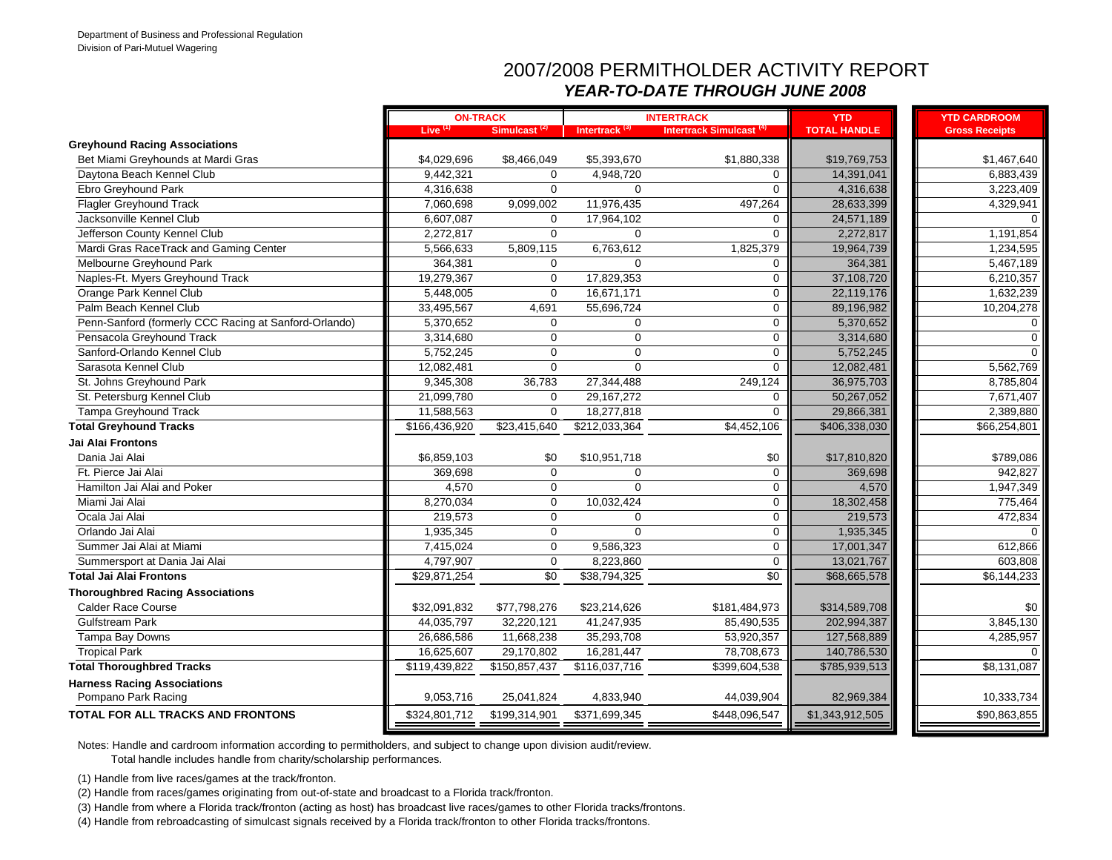#### 2007/2008 PERMITHOLDER ACTIVITY REPORT *YEAR-TO-DATE THROUGH JUNE 2008*

|                                                       |                     | <b>ON-TRACK</b>          |                           | <b>INTERTRACK</b>                   | <b>YTD</b>          | <b>YTD CARDROOM</b>   |          |
|-------------------------------------------------------|---------------------|--------------------------|---------------------------|-------------------------------------|---------------------|-----------------------|----------|
|                                                       | Live <sup>(1)</sup> | Simulcast <sup>(2)</sup> | Intertrack <sup>(3)</sup> | Intertrack Simulcast <sup>(4)</sup> | <b>TOTAL HANDLE</b> | <b>Gross Receipts</b> |          |
| <b>Greyhound Racing Associations</b>                  |                     |                          |                           |                                     |                     |                       |          |
| Bet Miami Greyhounds at Mardi Gras                    | \$4,029,696         | \$8,466,049              | \$5,393,670               | \$1,880,338                         | \$19,769,753        | \$1,467,640           |          |
| Daytona Beach Kennel Club                             | 9,442,321           | $\mathbf 0$              | 4,948,720                 | 0                                   | 14,391,041          | 6,883,439             |          |
| Ebro Greyhound Park                                   | 4,316,638           | $\Omega$                 | $\Omega$                  | $\Omega$                            | 4,316,638           | 3,223,409             |          |
| <b>Flagler Greyhound Track</b>                        | 7,060,698           | 9,099,002                | 11,976,435                | 497,264                             | 28,633,399          | 4,329,941             |          |
| Jacksonville Kennel Club                              | 6,607,087           | 0                        | 17,964,102                | 0                                   | 24,571,189          |                       | $\Omega$ |
| Jefferson County Kennel Club                          | 2,272,817           | $\mathbf 0$              | $\Omega$                  | 0                                   | 2,272,817           | 1,191,854             |          |
| Mardi Gras RaceTrack and Gaming Center                | 5,566,633           | 5,809,115                | 6,763,612                 | 1,825,379                           | 19,964,739          | 1,234,595             |          |
| Melbourne Greyhound Park                              | 364,381             | $\Omega$                 | $\Omega$                  | 0                                   | 364,381             | 5,467,189             |          |
| Naples-Ft. Myers Greyhound Track                      | 19,279,367          | $\mathbf 0$              | 17,829,353                | 0                                   | 37,108,720          | 6,210,357             |          |
| Orange Park Kennel Club                               | 5,448,005           | 0                        | 16,671,171                | 0                                   | 22,119,176          | 1,632,239             |          |
| Palm Beach Kennel Club                                | 33,495,567          | 4,691                    | 55,696,724                | 0                                   | 89,196,982          | 10,204,278            |          |
| Penn-Sanford (formerly CCC Racing at Sanford-Orlando) | 5,370,652           | $\mathbf 0$              | $\mathbf 0$               | 0                                   | 5,370,652           |                       | $\Omega$ |
| Pensacola Greyhound Track                             | 3,314,680           | $\Omega$                 | $\Omega$                  | 0                                   | 3,314,680           |                       | $\Omega$ |
| Sanford-Orlando Kennel Club                           | 5,752,245           | $\Omega$                 | $\Omega$                  | 0                                   | 5,752,245           |                       | $\Omega$ |
| Sarasota Kennel Club                                  | 12,082,481          | $\mathbf 0$              | $\mathbf 0$               | 0                                   | 12,082,481          | 5,562,769             |          |
| St. Johns Greyhound Park                              | 9,345,308           | 36,783                   | 27,344,488                | 249.124                             | 36,975,703          | 8,785,804             |          |
| St. Petersburg Kennel Club                            | 21,099,780          | $\mathbf 0$              | 29, 167, 272              | 0                                   | 50,267,052          | 7,671,407             |          |
| Tampa Greyhound Track                                 | 11,588,563          | $\mathbf 0$              | 18,277,818                | 0                                   | 29,866,381          | 2,389,880             |          |
| <b>Total Greyhound Tracks</b>                         | \$166,436,920       | \$23,415,640             | \$212,033,364             | \$4,452,106                         | \$406,338,030       | \$66,254,801          |          |
| Jai Alai Frontons                                     |                     |                          |                           |                                     |                     |                       |          |
| Dania Jai Alai                                        | \$6,859,103         | \$0                      | \$10,951,718              | \$0                                 | \$17,810,820        | \$789,086             |          |
| Ft. Pierce Jai Alai                                   | 369,698             | $\mathbf 0$              | $\mathbf 0$               | 0                                   | 369,698             | 942,827               |          |
| Hamilton Jai Alai and Poker                           | 4,570               | $\mathbf 0$              | $\Omega$                  | 0                                   | 4,570               | 1,947,349             |          |
| Miami Jai Alai                                        | 8,270,034           | $\Omega$                 | 10,032,424                | 0                                   | 18,302,458          | 775,464               |          |
| Ocala Jai Alai                                        | 219,573             | $\mathbf 0$              | $\mathbf 0$               | 0                                   | 219,573             | 472,834               |          |
| Orlando Jai Alai                                      | 1,935,345           | $\mathbf 0$              | $\mathbf 0$               | 0                                   | 1,935,345           |                       | $\Omega$ |
| Summer Jai Alai at Miami                              | 7,415,024           | $\mathbf 0$              | 9,586,323                 | 0                                   | 17,001,347          | 612,866               |          |
| Summersport at Dania Jai Alai                         | 4,797,907           | $\mathbf 0$              | 8,223,860                 | 0                                   | 13,021,767          | 603,808               |          |
| <b>Total Jai Alai Frontons</b>                        | \$29,871,254        | $\overline{30}$          | \$38,794,325              | $\overline{30}$                     | \$68,665,578        | \$6,144,233           |          |
| <b>Thoroughbred Racing Associations</b>               |                     |                          |                           |                                     |                     |                       |          |
| <b>Calder Race Course</b>                             | \$32,091,832        | \$77,798,276             | \$23,214,626              | \$181,484,973                       | \$314,589,708       | \$0                   |          |
| <b>Gulfstream Park</b>                                | 44,035,797          | 32,220,121               | 41,247,935                | 85,490,535                          | 202,994,387         | 3,845,130             |          |
| Tampa Bay Downs                                       | 26,686,586          | 11,668,238               | 35,293,708                | 53,920,357                          | 127,568,889         | 4,285,957             |          |
| <b>Tropical Park</b>                                  | 16,625,607          | 29,170,802               | 16,281,447                | 78,708,673                          | 140,786,530         |                       | $\Omega$ |
| <b>Total Thoroughbred Tracks</b>                      | \$119,439,822       | \$150,857,437            | \$116,037,716             | \$399,604,538                       | \$785,939,513       | \$8,131,087           |          |
| <b>Harness Racing Associations</b>                    |                     |                          |                           |                                     |                     |                       |          |
| Pompano Park Racing                                   | 9,053,716           | 25,041,824               | 4,833,940                 | 44,039,904                          | 82,969,384          | 10,333,734            |          |
| TOTAL FOR ALL TRACKS AND FRONTONS                     | \$324,801,712       | \$199,314,901            | \$371,699,345             | \$448,096,547                       | \$1,343,912,505     | \$90,863,855          |          |

Notes: Handle and cardroom information according to permitholders, and subject to change upon division audit/review.

Total handle includes handle from charity/scholarship performances.

(1) Handle from live races/games at the track/fronton.

(2) Handle from races/games originating from out-of-state and broadcast to a Florida track/fronton.

(3) Handle from where a Florida track/fronton (acting as host) has broadcast live races/games to other Florida tracks/frontons.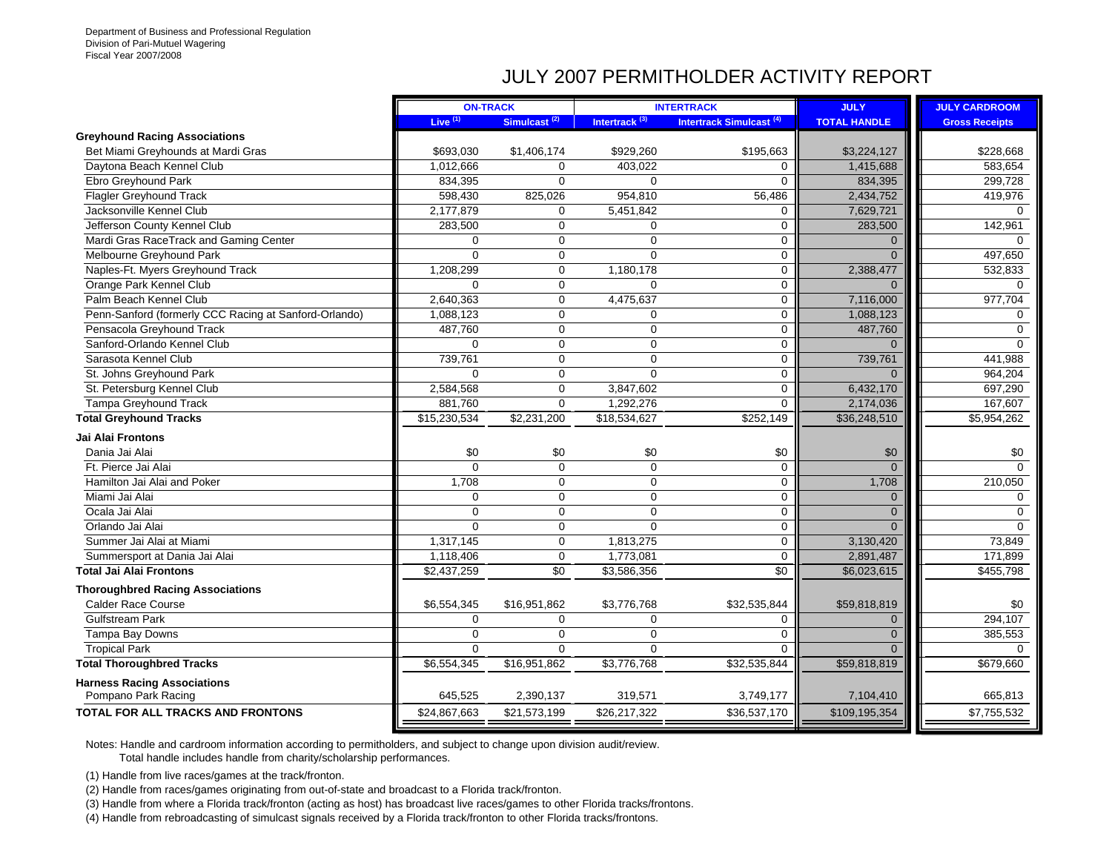## JULY 2007 PERMITHOLDER ACTIVITY REPORT

|                                                       |              | <b>ON-TRACK</b>          |                           | <b>INTERTRACK</b>                   | <b>JULY</b>         | <b>JULY CARDROOM</b>    |
|-------------------------------------------------------|--------------|--------------------------|---------------------------|-------------------------------------|---------------------|-------------------------|
|                                                       | Live $(1)$   | Simulcast <sup>(2)</sup> | Intertrack <sup>(3)</sup> | Intertrack Simulcast <sup>(4)</sup> | <b>TOTAL HANDLE</b> | <b>Gross Receipts</b>   |
| <b>Greyhound Racing Associations</b>                  |              |                          |                           |                                     |                     |                         |
| Bet Miami Greyhounds at Mardi Gras                    | \$693,030    | \$1,406,174              | \$929,260                 | \$195,663                           | \$3,224,127         | \$228,668               |
| Daytona Beach Kennel Club                             | 1,012,666    | $\mathbf 0$              | 403,022                   | 0                                   | 1,415,688           | 583,654                 |
| Ebro Greyhound Park                                   | 834,395      | $\mathbf 0$              | $\Omega$                  | 0                                   | 834,395             | 299,728                 |
| <b>Flagler Greyhound Track</b>                        | 598,430      | 825,026                  | 954,810                   | 56,486                              | 2,434,752           | 419,976                 |
| Jacksonville Kennel Club                              | 2,177,879    | $\mathbf 0$              | 5,451,842                 | 0                                   | 7,629,721           |                         |
| Jefferson County Kennel Club                          | 283,500      | $\mathbf 0$              | $\mathbf 0$               | 0                                   | 283,500             | 142,961                 |
| Mardi Gras RaceTrack and Gaming Center                | $\mathbf 0$  | $\mathbf 0$              | $\mathbf 0$               | 0                                   | $\Omega$            |                         |
| Melbourne Greyhound Park                              | $\Omega$     | $\mathbf 0$              | $\Omega$                  | 0                                   | $\Omega$            | 497,650                 |
| Naples-Ft. Myers Greyhound Track                      | 1,208,299    | $\mathbf 0$              | 1,180,178                 | 0                                   | 2,388,477           | 532,833                 |
| Orange Park Kennel Club                               | $\mathbf 0$  | $\mathbf 0$              | $\Omega$                  | 0                                   | $\mathbf{0}$        | $\Omega$                |
| Palm Beach Kennel Club                                | 2,640,363    | $\mathbf 0$              | 4,475,637                 | 0                                   | 7,116,000           | 977,704                 |
| Penn-Sanford (formerly CCC Racing at Sanford-Orlando) | 1,088,123    | $\mathbf 0$              | $\Omega$                  | 0                                   | 1,088,123           | $\Omega$                |
| Pensacola Greyhound Track                             | 487,760      | $\mathbf 0$              | $\mathbf 0$               | 0                                   | 487,760             | 0                       |
| Sanford-Orlando Kennel Club                           | $\Omega$     | $\mathbf 0$              | $\mathbf 0$               | 0                                   | $\Omega$            | $\Omega$                |
| Sarasota Kennel Club                                  | 739,761      | $\mathbf 0$              | $\mathbf 0$               | 0                                   | 739,761             | 441,988                 |
| St. Johns Greyhound Park                              | $\Omega$     | $\mathbf 0$              | $\Omega$                  | 0                                   | $\Omega$            | 964,204                 |
| St. Petersburg Kennel Club                            | 2,584,568    | $\mathbf 0$              | 3,847,602                 | 0                                   | 6,432,170           | 697,290                 |
| Tampa Greyhound Track                                 | 881,760      | $\mathbf 0$              | 1,292,276                 | 0                                   | 2,174,036           | 167,607                 |
| <b>Total Greyhound Tracks</b>                         | \$15,230,534 | \$2,231,200              | \$18,534,627              | \$252,149                           | \$36,248,510        | $\overline{$5,954,262}$ |
| Jai Alai Frontons                                     |              |                          |                           |                                     |                     |                         |
| Dania Jai Alai                                        | \$0          | \$0                      | \$0                       | \$0                                 | \$0                 | \$0                     |
| Ft. Pierce Jai Alai                                   | $\Omega$     | $\Omega$                 | $\Omega$                  | $\mathbf 0$                         | $\mathbf 0$         | $\Omega$                |
| Hamilton Jai Alai and Poker                           | 1,708        | $\mathbf 0$              | $\mathbf 0$               | 0                                   | 1,708               | 210,050                 |
| Miami Jai Alai                                        | $\mathbf 0$  | 0                        | $\mathbf 0$               | 0                                   | $\mathbf{0}$        | 0                       |
| Ocala Jai Alai                                        | $\mathbf 0$  | $\mathbf 0$              | $\mathbf 0$               | 0                                   | $\mathbf 0$         | $\mathbf 0$             |
| Orlando Jai Alai                                      | $\Omega$     | $\mathbf 0$              | $\Omega$                  | 0                                   | $\Omega$            | $\Omega$                |
| Summer Jai Alai at Miami                              | 1,317,145    | $\mathbf 0$              | 1,813,275                 | 0                                   | 3,130,420           | 73,849                  |
| Summersport at Dania Jai Alai                         | 1,118,406    | $\mathbf 0$              | 1,773,081                 | 0                                   | 2,891,487           | 171,899                 |
| <b>Total Jai Alai Frontons</b>                        | \$2,437,259  | $\sqrt{6}$               | \$3,586,356               | \$0                                 | \$6,023,615         | \$455,798               |
| <b>Thoroughbred Racing Associations</b>               |              |                          |                           |                                     |                     |                         |
| <b>Calder Race Course</b>                             | \$6,554,345  | \$16,951,862             | \$3,776,768               | \$32,535,844                        | \$59,818,819        | \$0                     |
| <b>Gulfstream Park</b>                                | $\mathbf 0$  | $\mathbf 0$              | $\mathbf 0$               | 0                                   | $\overline{0}$      | 294,107                 |
| Tampa Bay Downs                                       | $\mathbf 0$  | $\mathbf 0$              | $\mathbf 0$               | 0                                   | $\overline{0}$      | 385,553                 |
| <b>Tropical Park</b>                                  | $\mathbf 0$  | $\mathbf 0$              | $\Omega$                  | $\Omega$                            | $\overline{0}$      | $\Omega$                |
| <b>Total Thoroughbred Tracks</b>                      | \$6,554,345  | \$16,951,862             | \$3,776,768               | \$32,535,844                        | \$59,818,819        | \$679,660               |
| <b>Harness Racing Associations</b>                    |              |                          |                           |                                     |                     |                         |
| Pompano Park Racing                                   | 645,525      | 2,390,137                | 319,571                   | 3,749,177                           | 7,104,410           | 665,813                 |
| TOTAL FOR ALL TRACKS AND FRONTONS                     | \$24,867,663 | \$21,573,199             | \$26,217,322              | \$36,537,170                        | \$109,195,354       | \$7,755,532             |
|                                                       |              |                          |                           |                                     |                     |                         |

Notes: Handle and cardroom information according to permitholders, and subject to change upon division audit/review. Total handle includes handle from charity/scholarship performances.

(1) Handle from live races/games at the track/fronton.

(2) Handle from races/games originating from out-of-state and broadcast to a Florida track/fronton.

(3) Handle from where a Florida track/fronton (acting as host) has broadcast live races/games to other Florida tracks/frontons.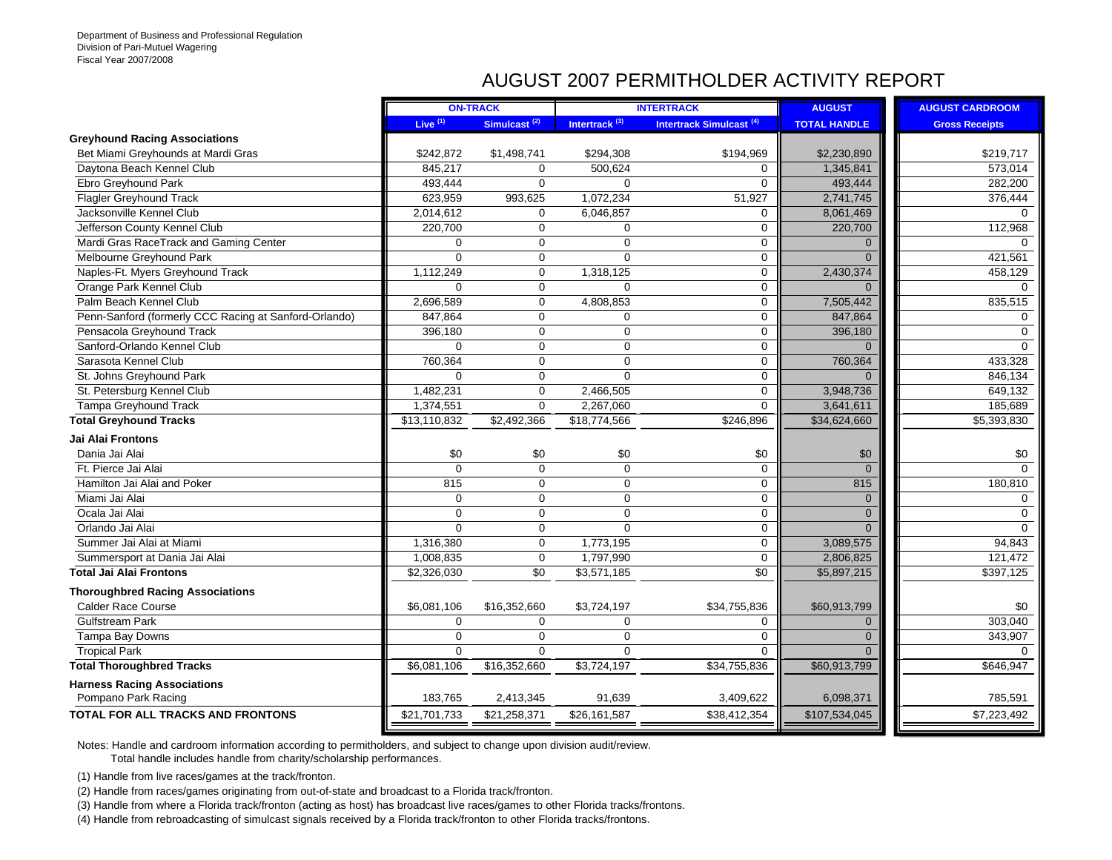## AUGUST 2007 PERMITHOLDER ACTIVITY REPORT

|                                                       |                     | <b>ON-TRACK</b>          |                           | <b>INTERTRACK</b>               | <b>AUGUST</b>       | <b>AUGUST CARDROOM</b> |
|-------------------------------------------------------|---------------------|--------------------------|---------------------------|---------------------------------|---------------------|------------------------|
|                                                       | Live <sup>(1)</sup> | Simulcast <sup>(2)</sup> | Intertrack <sup>(3)</sup> | <b>Intertrack Simulcast (4)</b> | <b>TOTAL HANDLE</b> | <b>Gross Receipts</b>  |
| <b>Greyhound Racing Associations</b>                  |                     |                          |                           |                                 |                     |                        |
| Bet Miami Greyhounds at Mardi Gras                    | \$242,872           | \$1,498,741              | \$294,308                 | \$194,969                       | \$2,230,890         | \$219,717              |
| Daytona Beach Kennel Club                             | 845,217             | $\Omega$                 | 500,624                   | $\Omega$                        | 1,345,841           | 573,014                |
| Ebro Greyhound Park                                   | 493,444             | $\mathbf 0$              | $\mathbf 0$               | $\mathbf 0$                     | 493,444             | 282,200                |
| <b>Flagler Greyhound Track</b>                        | 623,959             | 993,625                  | 1,072,234                 | 51,927                          | 2,741,745           | 376,444                |
| Jacksonville Kennel Club                              | 2,014,612           | $\mathbf 0$              | 6,046,857                 | $\mathbf 0$                     | 8,061,469           | $\Omega$               |
| Jefferson County Kennel Club                          | 220,700             | $\mathbf 0$              | $\Omega$                  | $\mathbf 0$                     | 220,700             | 112,968                |
| Mardi Gras RaceTrack and Gaming Center                | $\Omega$            | $\mathbf 0$              | $\Omega$                  | $\mathbf 0$                     | $\Omega$            | $\Omega$               |
| Melbourne Greyhound Park                              | $\Omega$            | $\mathbf 0$              | $\Omega$                  | $\mathbf 0$                     | $\Omega$            | 421,561                |
| Naples-Ft. Myers Greyhound Track                      | 1,112,249           | 0                        | 1,318,125                 | $\mathbf 0$                     | 2,430,374           | 458,129                |
| Orange Park Kennel Club                               | $\Omega$            | $\mathbf 0$              | $\Omega$                  | $\mathbf 0$                     | $\Omega$            | $\Omega$               |
| Palm Beach Kennel Club                                | 2,696,589           | $\mathbf 0$              | 4,808,853                 | $\mathbf 0$                     | 7,505,442           | 835,515                |
| Penn-Sanford (formerly CCC Racing at Sanford-Orlando) | 847,864             | $\mathbf 0$              | $\Omega$                  | $\mathbf 0$                     | 847,864             | $\Omega$               |
| Pensacola Greyhound Track                             | 396,180             | $\mathbf 0$              | $\mathbf 0$               | $\mathbf 0$                     | 396,180             | $\mathbf 0$            |
| Sanford-Orlando Kennel Club                           | $\Omega$            | 0                        | $\Omega$                  | $\mathbf 0$                     | $\Omega$            | $\Omega$               |
| Sarasota Kennel Club                                  | 760,364             | 0                        | $\mathbf 0$               | $\mathbf 0$                     | 760,364             | 433,328                |
| St. Johns Greyhound Park                              | $\Omega$            | $\mathbf 0$              | $\Omega$                  | 0                               | $\Omega$            | 846,134                |
| St. Petersburg Kennel Club                            | 1,482,231           | $\mathbf 0$              | 2,466,505                 | $\mathbf 0$                     | 3,948,736           | 649,132                |
| Tampa Greyhound Track                                 | 1,374,551           | $\Omega$                 | 2,267,060                 | $\Omega$                        | 3,641,611           | 185,689                |
| <b>Total Greyhound Tracks</b>                         | \$13,110,832        | \$2,492,366              | \$18,774,566              | \$246,896                       | \$34,624,660        | 5,393,830              |
| Jai Alai Frontons                                     |                     |                          |                           |                                 |                     |                        |
| Dania Jai Alai                                        | \$0                 | \$0                      | \$0                       | \$0                             | \$0                 | \$0                    |
| Ft. Pierce Jai Alai                                   | $\Omega$            | $\Omega$                 | $\Omega$                  | $\Omega$                        | $\Omega$            | $\Omega$               |
| Hamilton Jai Alai and Poker                           | 815                 | $\mathbf 0$              | $\Omega$                  | $\mathbf 0$                     | 815                 | 180,810                |
| Miami Jai Alai                                        | $\Omega$            | 0                        | $\Omega$                  | $\mathbf 0$                     | $\mathbf{0}$        | $\mathbf 0$            |
| Ocala Jai Alai                                        | $\mathbf 0$         | $\mathbf 0$              | $\Omega$                  | $\mathbf 0$                     | $\mathbf{0}$        | $\mathbf 0$            |
| Orlando Jai Alai                                      | $\Omega$            | $\mathbf 0$              | $\Omega$                  | $\mathbf 0$                     | $\Omega$            | $\Omega$               |
| Summer Jai Alai at Miami                              | 1,316,380           | $\mathbf 0$              | 1,773,195                 | $\mathbf 0$                     | 3,089,575           | 94,843                 |
| Summersport at Dania Jai Alai                         | 1,008,835           | $\mathbf 0$              | 1,797,990                 | $\mathbf 0$                     | 2,806,825           | 121,472                |
| <b>Total Jai Alai Frontons</b>                        | \$2,326,030         | $\sqrt{6}$               | \$3,571,185               | $\overline{60}$                 | \$5,897,215         | \$397,125              |
| <b>Thoroughbred Racing Associations</b>               |                     |                          |                           |                                 |                     |                        |
| <b>Calder Race Course</b>                             | \$6,081,106         | \$16,352,660             | \$3,724,197               | \$34,755,836                    | \$60,913,799        | \$0                    |
| <b>Gulfstream Park</b>                                | $\Omega$            | $\mathbf 0$              | $\Omega$                  | $\mathbf 0$                     | $\Omega$            | 303,040                |
| Tampa Bay Downs                                       | $\Omega$            | $\Omega$                 | $\Omega$                  | $\mathbf 0$                     | $\Omega$            | 343,907                |
| <b>Tropical Park</b>                                  | $\mathbf 0$         | $\mathbf 0$              | $\Omega$                  | $\mathbf 0$                     | $\Omega$            | $\Omega$               |
| <b>Total Thoroughbred Tracks</b>                      | \$6,081,106         | \$16,352,660             | \$3,724,197               | \$34,755,836                    | \$60,913,799        | \$646,947              |
| <b>Harness Racing Associations</b>                    |                     |                          |                           |                                 |                     |                        |
| Pompano Park Racing                                   | 183,765             | 2,413,345                | 91,639                    | 3,409,622                       | 6,098,371           | 785,591                |
| <b>TOTAL FOR ALL TRACKS AND FRONTONS</b>              | \$21,701,733        | \$21,258,371             | \$26,161,587              | \$38,412,354                    | \$107,534,045       | \$7,223,492            |
|                                                       |                     |                          |                           |                                 |                     |                        |

Notes: Handle and cardroom information according to permitholders, and subject to change upon division audit/review.

Total handle includes handle from charity/scholarship performances.

(1) Handle from live races/games at the track/fronton.

(2) Handle from races/games originating from out-of-state and broadcast to a Florida track/fronton.

(3) Handle from where a Florida track/fronton (acting as host) has broadcast live races/games to other Florida tracks/frontons.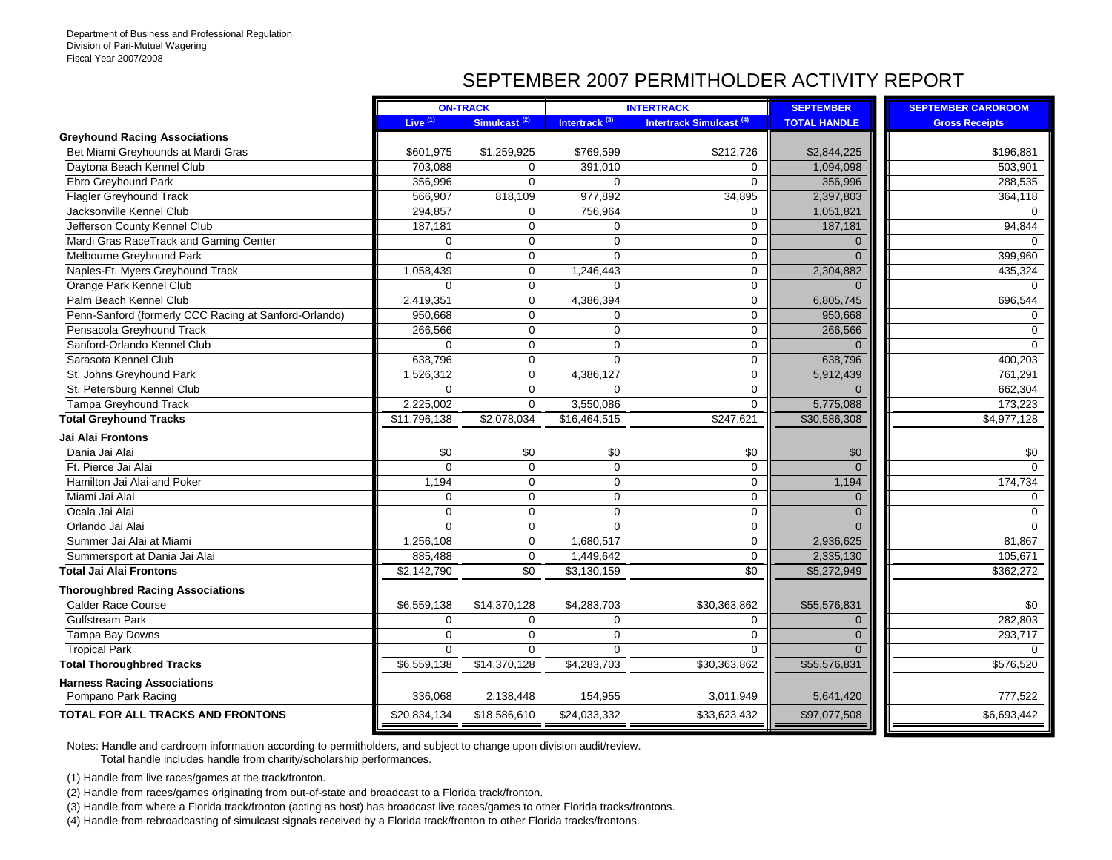## SEPTEMBER 2007 PERMITHOLDER ACTIVITY REPORT

| Live <sup>(1)</sup><br>Simulcast <sup>(2)</sup><br>Intertrack <sup>(3)</sup><br>Intertrack Simulcast <sup>(4)</sup><br><b>TOTAL HANDLE</b><br><b>Gross Receipts</b><br>Bet Miami Greyhounds at Mardi Gras<br>\$1,259,925<br>\$769,599<br>\$212,726<br>\$2,844,225<br>\$196,881<br>\$601,975<br>Daytona Beach Kennel Club<br>703,088<br>391,010<br>1,094,098<br>503,901<br>$\Omega$<br>$\mathbf 0$<br>Ebro Greyhound Park<br>$\Omega$<br>356.996<br>$\Omega$<br>356,996<br>288,535<br>$\Omega$<br>977,892<br><b>Flagler Greyhound Track</b><br>566,907<br>818,109<br>34,895<br>2,397,803<br>364,118<br>Jacksonville Kennel Club<br>294,857<br>756,964<br>1,051,821<br>$\mathbf 0$<br>$\mathbf 0$<br>Jefferson County Kennel Club<br>187,181<br>$\mathbf 0$<br>$\mathbf 0$<br>187,181<br>94,844<br>$\mathbf 0$<br>$\mathbf 0$<br>Mardi Gras RaceTrack and Gaming Center<br>$\mathbf 0$<br>$\mathbf 0$<br>$\mathbf 0$<br>$\mathbf{0}$<br>$\overline{0}$<br>Melbourne Greyhound Park<br>$\Omega$<br>$\Omega$<br>$\mathbf 0$<br>399,960<br>$\Omega$<br>Naples-Ft. Myers Greyhound Track<br>$\Omega$<br>$\mathbf 0$<br>2,304,882<br>1,058,439<br>1,246,443<br>435,324<br>Orange Park Kennel Club<br>$\mathbf 0$<br>$\mathbf 0$<br>$\mathbf 0$<br>0<br>$\Omega$<br>0<br>6,805,745<br>Palm Beach Kennel Club<br>2,419,351<br>$\mathbf 0$<br>4,386,394<br>$\mathbf 0$<br>696,544<br>Penn-Sanford (formerly CCC Racing at Sanford-Orlando)<br>$\mathbf 0$<br>$\mathbf 0$<br>950,668<br>950,668<br>$\mathbf 0$<br>$\Omega$<br>$\mathbf 0$<br>Pensacola Greyhound Track<br>266,566<br>$\mathbf 0$<br>$\mathbf 0$<br>266,566<br>$\Omega$<br>Sanford-Orlando Kennel Club<br>$\mathbf 0$<br>$\mathbf 0$<br>$\Omega$<br>$\mathbf 0$<br>$\Omega$<br>$\Omega$<br>$\Omega$<br>Sarasota Kennel Club<br>$\Omega$<br>$\mathbf 0$<br>638,796<br>638,796<br>400,203<br>St. Johns Greyhound Park<br>$\mathbf 0$<br>4,386,127<br>$\mathbf 0$<br>5,912,439<br>1,526,312<br>761,291<br>St. Petersburg Kennel Club<br>$\mathbf 0$<br>$\mathbf 0$<br>$\mathbf 0$<br>662,304<br>0<br>$\Omega$<br>$\mathbf 0$<br>Tampa Greyhound Track<br>2,225,002<br>3,550,086<br>$\mathbf 0$<br>5,775,088<br>173,223<br>\$2,078,034<br>\$247,621<br>\$30,586,308<br>\$4,977,128<br><b>Total Greyhound Tracks</b><br>\$11,796,138<br>\$16,464,515<br>\$0<br>\$0<br>Dania Jai Alai<br>\$0<br>\$0<br>\$0<br>\$0<br>$\Omega$<br>$\Omega$<br>$\mathbf 0$<br>$\mathbf 0$<br>Ft. Pierce Jai Alai<br>$\Omega$<br>$\Omega$<br>1,194<br>Hamilton Jai Alai and Poker<br>1,194<br>$\mathbf 0$<br>$\mathbf 0$<br>$\mathbf 0$<br>174,734<br>Miami Jai Alai<br>$\mathbf 0$<br>$\mathbf 0$<br>$\mathbf{0}$<br>$\mathbf 0$<br>$\Omega$<br>0<br>$\mathbf 0$<br>$\mathbf 0$<br>$\mathbf 0$<br>$\mathbf 0$<br>Ocala Jai Alai<br>$\Omega$<br>$\Omega$<br>$\Omega$<br>$\mathbf 0$<br>$\Omega$<br>$\mathbf 0$<br>Orlando Jai Alai<br>$\Omega$<br>$\Omega$<br>Summer Jai Alai at Miami<br>$\Omega$<br>$\mathbf 0$<br>2,936,625<br>1,256,108<br>1,680,517<br>81,867<br>Summersport at Dania Jai Alai<br>$\mathbf 0$<br>$\mathbf 0$<br>2,335,130<br>885,488<br>1,449,642<br>105,671<br>$\overline{50}$<br>$\overline{50}$<br>\$5,272,949<br>\$2,142,790<br>\$3,130,159<br>\$362,272<br><b>Calder Race Course</b><br>\$6,559,138<br>\$14,370,128<br>\$4,283,703<br>\$30,363,862<br>\$55,576,831<br>\$0<br><b>Gulfstream Park</b><br>$\Omega$<br>282,803<br>$\Omega$<br>$\Omega$<br>$\mathbf 0$<br>$\mathbf{0}$<br>Tampa Bay Downs<br>$\Omega$<br>$\Omega$<br>0<br>$\Omega$<br>293,717<br>$\Omega$<br><b>Tropical Park</b><br>$\mathbf 0$<br>$\mathbf 0$<br>$\mathbf 0$<br>$\Omega$<br>$\mathbf 0$<br>\$4,283,703<br>\$55,576,831<br>\$6,559,138<br>\$14,370,128<br>\$30,363,862<br>\$576,520<br><b>Harness Racing Associations</b><br>777,522<br>Pompano Park Racing<br>2,138,448<br>154,955<br>336,068<br>3,011,949<br>5,641,420 |                                          |              | <b>ON-TRACK</b> |              | <b>INTERTRACK</b> | <b>SEPTEMBER</b> | <b>SEPTEMBER CARDROOM</b> |
|-----------------------------------------------------------------------------------------------------------------------------------------------------------------------------------------------------------------------------------------------------------------------------------------------------------------------------------------------------------------------------------------------------------------------------------------------------------------------------------------------------------------------------------------------------------------------------------------------------------------------------------------------------------------------------------------------------------------------------------------------------------------------------------------------------------------------------------------------------------------------------------------------------------------------------------------------------------------------------------------------------------------------------------------------------------------------------------------------------------------------------------------------------------------------------------------------------------------------------------------------------------------------------------------------------------------------------------------------------------------------------------------------------------------------------------------------------------------------------------------------------------------------------------------------------------------------------------------------------------------------------------------------------------------------------------------------------------------------------------------------------------------------------------------------------------------------------------------------------------------------------------------------------------------------------------------------------------------------------------------------------------------------------------------------------------------------------------------------------------------------------------------------------------------------------------------------------------------------------------------------------------------------------------------------------------------------------------------------------------------------------------------------------------------------------------------------------------------------------------------------------------------------------------------------------------------------------------------------------------------------------------------------------------------------------------------------------------------------------------------------------------------------------------------------------------------------------------------------------------------------------------------------------------------------------------------------------------------------------------------------------------------------------------------------------------------------------------------------------------------------------------------------------------------------------------------------------------------------------------------------------------------------------------------------------------------------------------------------------------------------------------------------------------------------------------------------------------------------------------------------------------------------------------------------------------------------------------------------------------------------------------------------------------------------------------------------------------------------------------------------------------------------------------------------------------------------------------------------------------|------------------------------------------|--------------|-----------------|--------------|-------------------|------------------|---------------------------|
|                                                                                                                                                                                                                                                                                                                                                                                                                                                                                                                                                                                                                                                                                                                                                                                                                                                                                                                                                                                                                                                                                                                                                                                                                                                                                                                                                                                                                                                                                                                                                                                                                                                                                                                                                                                                                                                                                                                                                                                                                                                                                                                                                                                                                                                                                                                                                                                                                                                                                                                                                                                                                                                                                                                                                                                                                                                                                                                                                                                                                                                                                                                                                                                                                                                                                                                                                                                                                                                                                                                                                                                                                                                                                                                                                                                                                                                           |                                          |              |                 |              |                   |                  |                           |
|                                                                                                                                                                                                                                                                                                                                                                                                                                                                                                                                                                                                                                                                                                                                                                                                                                                                                                                                                                                                                                                                                                                                                                                                                                                                                                                                                                                                                                                                                                                                                                                                                                                                                                                                                                                                                                                                                                                                                                                                                                                                                                                                                                                                                                                                                                                                                                                                                                                                                                                                                                                                                                                                                                                                                                                                                                                                                                                                                                                                                                                                                                                                                                                                                                                                                                                                                                                                                                                                                                                                                                                                                                                                                                                                                                                                                                                           | <b>Greyhound Racing Associations</b>     |              |                 |              |                   |                  |                           |
|                                                                                                                                                                                                                                                                                                                                                                                                                                                                                                                                                                                                                                                                                                                                                                                                                                                                                                                                                                                                                                                                                                                                                                                                                                                                                                                                                                                                                                                                                                                                                                                                                                                                                                                                                                                                                                                                                                                                                                                                                                                                                                                                                                                                                                                                                                                                                                                                                                                                                                                                                                                                                                                                                                                                                                                                                                                                                                                                                                                                                                                                                                                                                                                                                                                                                                                                                                                                                                                                                                                                                                                                                                                                                                                                                                                                                                                           |                                          |              |                 |              |                   |                  |                           |
|                                                                                                                                                                                                                                                                                                                                                                                                                                                                                                                                                                                                                                                                                                                                                                                                                                                                                                                                                                                                                                                                                                                                                                                                                                                                                                                                                                                                                                                                                                                                                                                                                                                                                                                                                                                                                                                                                                                                                                                                                                                                                                                                                                                                                                                                                                                                                                                                                                                                                                                                                                                                                                                                                                                                                                                                                                                                                                                                                                                                                                                                                                                                                                                                                                                                                                                                                                                                                                                                                                                                                                                                                                                                                                                                                                                                                                                           |                                          |              |                 |              |                   |                  |                           |
|                                                                                                                                                                                                                                                                                                                                                                                                                                                                                                                                                                                                                                                                                                                                                                                                                                                                                                                                                                                                                                                                                                                                                                                                                                                                                                                                                                                                                                                                                                                                                                                                                                                                                                                                                                                                                                                                                                                                                                                                                                                                                                                                                                                                                                                                                                                                                                                                                                                                                                                                                                                                                                                                                                                                                                                                                                                                                                                                                                                                                                                                                                                                                                                                                                                                                                                                                                                                                                                                                                                                                                                                                                                                                                                                                                                                                                                           |                                          |              |                 |              |                   |                  |                           |
|                                                                                                                                                                                                                                                                                                                                                                                                                                                                                                                                                                                                                                                                                                                                                                                                                                                                                                                                                                                                                                                                                                                                                                                                                                                                                                                                                                                                                                                                                                                                                                                                                                                                                                                                                                                                                                                                                                                                                                                                                                                                                                                                                                                                                                                                                                                                                                                                                                                                                                                                                                                                                                                                                                                                                                                                                                                                                                                                                                                                                                                                                                                                                                                                                                                                                                                                                                                                                                                                                                                                                                                                                                                                                                                                                                                                                                                           |                                          |              |                 |              |                   |                  |                           |
|                                                                                                                                                                                                                                                                                                                                                                                                                                                                                                                                                                                                                                                                                                                                                                                                                                                                                                                                                                                                                                                                                                                                                                                                                                                                                                                                                                                                                                                                                                                                                                                                                                                                                                                                                                                                                                                                                                                                                                                                                                                                                                                                                                                                                                                                                                                                                                                                                                                                                                                                                                                                                                                                                                                                                                                                                                                                                                                                                                                                                                                                                                                                                                                                                                                                                                                                                                                                                                                                                                                                                                                                                                                                                                                                                                                                                                                           |                                          |              |                 |              |                   |                  |                           |
|                                                                                                                                                                                                                                                                                                                                                                                                                                                                                                                                                                                                                                                                                                                                                                                                                                                                                                                                                                                                                                                                                                                                                                                                                                                                                                                                                                                                                                                                                                                                                                                                                                                                                                                                                                                                                                                                                                                                                                                                                                                                                                                                                                                                                                                                                                                                                                                                                                                                                                                                                                                                                                                                                                                                                                                                                                                                                                                                                                                                                                                                                                                                                                                                                                                                                                                                                                                                                                                                                                                                                                                                                                                                                                                                                                                                                                                           |                                          |              |                 |              |                   |                  |                           |
|                                                                                                                                                                                                                                                                                                                                                                                                                                                                                                                                                                                                                                                                                                                                                                                                                                                                                                                                                                                                                                                                                                                                                                                                                                                                                                                                                                                                                                                                                                                                                                                                                                                                                                                                                                                                                                                                                                                                                                                                                                                                                                                                                                                                                                                                                                                                                                                                                                                                                                                                                                                                                                                                                                                                                                                                                                                                                                                                                                                                                                                                                                                                                                                                                                                                                                                                                                                                                                                                                                                                                                                                                                                                                                                                                                                                                                                           |                                          |              |                 |              |                   |                  |                           |
|                                                                                                                                                                                                                                                                                                                                                                                                                                                                                                                                                                                                                                                                                                                                                                                                                                                                                                                                                                                                                                                                                                                                                                                                                                                                                                                                                                                                                                                                                                                                                                                                                                                                                                                                                                                                                                                                                                                                                                                                                                                                                                                                                                                                                                                                                                                                                                                                                                                                                                                                                                                                                                                                                                                                                                                                                                                                                                                                                                                                                                                                                                                                                                                                                                                                                                                                                                                                                                                                                                                                                                                                                                                                                                                                                                                                                                                           |                                          |              |                 |              |                   |                  |                           |
|                                                                                                                                                                                                                                                                                                                                                                                                                                                                                                                                                                                                                                                                                                                                                                                                                                                                                                                                                                                                                                                                                                                                                                                                                                                                                                                                                                                                                                                                                                                                                                                                                                                                                                                                                                                                                                                                                                                                                                                                                                                                                                                                                                                                                                                                                                                                                                                                                                                                                                                                                                                                                                                                                                                                                                                                                                                                                                                                                                                                                                                                                                                                                                                                                                                                                                                                                                                                                                                                                                                                                                                                                                                                                                                                                                                                                                                           |                                          |              |                 |              |                   |                  |                           |
|                                                                                                                                                                                                                                                                                                                                                                                                                                                                                                                                                                                                                                                                                                                                                                                                                                                                                                                                                                                                                                                                                                                                                                                                                                                                                                                                                                                                                                                                                                                                                                                                                                                                                                                                                                                                                                                                                                                                                                                                                                                                                                                                                                                                                                                                                                                                                                                                                                                                                                                                                                                                                                                                                                                                                                                                                                                                                                                                                                                                                                                                                                                                                                                                                                                                                                                                                                                                                                                                                                                                                                                                                                                                                                                                                                                                                                                           |                                          |              |                 |              |                   |                  |                           |
|                                                                                                                                                                                                                                                                                                                                                                                                                                                                                                                                                                                                                                                                                                                                                                                                                                                                                                                                                                                                                                                                                                                                                                                                                                                                                                                                                                                                                                                                                                                                                                                                                                                                                                                                                                                                                                                                                                                                                                                                                                                                                                                                                                                                                                                                                                                                                                                                                                                                                                                                                                                                                                                                                                                                                                                                                                                                                                                                                                                                                                                                                                                                                                                                                                                                                                                                                                                                                                                                                                                                                                                                                                                                                                                                                                                                                                                           |                                          |              |                 |              |                   |                  |                           |
|                                                                                                                                                                                                                                                                                                                                                                                                                                                                                                                                                                                                                                                                                                                                                                                                                                                                                                                                                                                                                                                                                                                                                                                                                                                                                                                                                                                                                                                                                                                                                                                                                                                                                                                                                                                                                                                                                                                                                                                                                                                                                                                                                                                                                                                                                                                                                                                                                                                                                                                                                                                                                                                                                                                                                                                                                                                                                                                                                                                                                                                                                                                                                                                                                                                                                                                                                                                                                                                                                                                                                                                                                                                                                                                                                                                                                                                           |                                          |              |                 |              |                   |                  |                           |
|                                                                                                                                                                                                                                                                                                                                                                                                                                                                                                                                                                                                                                                                                                                                                                                                                                                                                                                                                                                                                                                                                                                                                                                                                                                                                                                                                                                                                                                                                                                                                                                                                                                                                                                                                                                                                                                                                                                                                                                                                                                                                                                                                                                                                                                                                                                                                                                                                                                                                                                                                                                                                                                                                                                                                                                                                                                                                                                                                                                                                                                                                                                                                                                                                                                                                                                                                                                                                                                                                                                                                                                                                                                                                                                                                                                                                                                           |                                          |              |                 |              |                   |                  |                           |
|                                                                                                                                                                                                                                                                                                                                                                                                                                                                                                                                                                                                                                                                                                                                                                                                                                                                                                                                                                                                                                                                                                                                                                                                                                                                                                                                                                                                                                                                                                                                                                                                                                                                                                                                                                                                                                                                                                                                                                                                                                                                                                                                                                                                                                                                                                                                                                                                                                                                                                                                                                                                                                                                                                                                                                                                                                                                                                                                                                                                                                                                                                                                                                                                                                                                                                                                                                                                                                                                                                                                                                                                                                                                                                                                                                                                                                                           |                                          |              |                 |              |                   |                  |                           |
|                                                                                                                                                                                                                                                                                                                                                                                                                                                                                                                                                                                                                                                                                                                                                                                                                                                                                                                                                                                                                                                                                                                                                                                                                                                                                                                                                                                                                                                                                                                                                                                                                                                                                                                                                                                                                                                                                                                                                                                                                                                                                                                                                                                                                                                                                                                                                                                                                                                                                                                                                                                                                                                                                                                                                                                                                                                                                                                                                                                                                                                                                                                                                                                                                                                                                                                                                                                                                                                                                                                                                                                                                                                                                                                                                                                                                                                           |                                          |              |                 |              |                   |                  |                           |
|                                                                                                                                                                                                                                                                                                                                                                                                                                                                                                                                                                                                                                                                                                                                                                                                                                                                                                                                                                                                                                                                                                                                                                                                                                                                                                                                                                                                                                                                                                                                                                                                                                                                                                                                                                                                                                                                                                                                                                                                                                                                                                                                                                                                                                                                                                                                                                                                                                                                                                                                                                                                                                                                                                                                                                                                                                                                                                                                                                                                                                                                                                                                                                                                                                                                                                                                                                                                                                                                                                                                                                                                                                                                                                                                                                                                                                                           |                                          |              |                 |              |                   |                  |                           |
|                                                                                                                                                                                                                                                                                                                                                                                                                                                                                                                                                                                                                                                                                                                                                                                                                                                                                                                                                                                                                                                                                                                                                                                                                                                                                                                                                                                                                                                                                                                                                                                                                                                                                                                                                                                                                                                                                                                                                                                                                                                                                                                                                                                                                                                                                                                                                                                                                                                                                                                                                                                                                                                                                                                                                                                                                                                                                                                                                                                                                                                                                                                                                                                                                                                                                                                                                                                                                                                                                                                                                                                                                                                                                                                                                                                                                                                           |                                          |              |                 |              |                   |                  |                           |
|                                                                                                                                                                                                                                                                                                                                                                                                                                                                                                                                                                                                                                                                                                                                                                                                                                                                                                                                                                                                                                                                                                                                                                                                                                                                                                                                                                                                                                                                                                                                                                                                                                                                                                                                                                                                                                                                                                                                                                                                                                                                                                                                                                                                                                                                                                                                                                                                                                                                                                                                                                                                                                                                                                                                                                                                                                                                                                                                                                                                                                                                                                                                                                                                                                                                                                                                                                                                                                                                                                                                                                                                                                                                                                                                                                                                                                                           |                                          |              |                 |              |                   |                  |                           |
|                                                                                                                                                                                                                                                                                                                                                                                                                                                                                                                                                                                                                                                                                                                                                                                                                                                                                                                                                                                                                                                                                                                                                                                                                                                                                                                                                                                                                                                                                                                                                                                                                                                                                                                                                                                                                                                                                                                                                                                                                                                                                                                                                                                                                                                                                                                                                                                                                                                                                                                                                                                                                                                                                                                                                                                                                                                                                                                                                                                                                                                                                                                                                                                                                                                                                                                                                                                                                                                                                                                                                                                                                                                                                                                                                                                                                                                           |                                          |              |                 |              |                   |                  |                           |
|                                                                                                                                                                                                                                                                                                                                                                                                                                                                                                                                                                                                                                                                                                                                                                                                                                                                                                                                                                                                                                                                                                                                                                                                                                                                                                                                                                                                                                                                                                                                                                                                                                                                                                                                                                                                                                                                                                                                                                                                                                                                                                                                                                                                                                                                                                                                                                                                                                                                                                                                                                                                                                                                                                                                                                                                                                                                                                                                                                                                                                                                                                                                                                                                                                                                                                                                                                                                                                                                                                                                                                                                                                                                                                                                                                                                                                                           | Jai Alai Frontons                        |              |                 |              |                   |                  |                           |
|                                                                                                                                                                                                                                                                                                                                                                                                                                                                                                                                                                                                                                                                                                                                                                                                                                                                                                                                                                                                                                                                                                                                                                                                                                                                                                                                                                                                                                                                                                                                                                                                                                                                                                                                                                                                                                                                                                                                                                                                                                                                                                                                                                                                                                                                                                                                                                                                                                                                                                                                                                                                                                                                                                                                                                                                                                                                                                                                                                                                                                                                                                                                                                                                                                                                                                                                                                                                                                                                                                                                                                                                                                                                                                                                                                                                                                                           |                                          |              |                 |              |                   |                  |                           |
|                                                                                                                                                                                                                                                                                                                                                                                                                                                                                                                                                                                                                                                                                                                                                                                                                                                                                                                                                                                                                                                                                                                                                                                                                                                                                                                                                                                                                                                                                                                                                                                                                                                                                                                                                                                                                                                                                                                                                                                                                                                                                                                                                                                                                                                                                                                                                                                                                                                                                                                                                                                                                                                                                                                                                                                                                                                                                                                                                                                                                                                                                                                                                                                                                                                                                                                                                                                                                                                                                                                                                                                                                                                                                                                                                                                                                                                           |                                          |              |                 |              |                   |                  |                           |
|                                                                                                                                                                                                                                                                                                                                                                                                                                                                                                                                                                                                                                                                                                                                                                                                                                                                                                                                                                                                                                                                                                                                                                                                                                                                                                                                                                                                                                                                                                                                                                                                                                                                                                                                                                                                                                                                                                                                                                                                                                                                                                                                                                                                                                                                                                                                                                                                                                                                                                                                                                                                                                                                                                                                                                                                                                                                                                                                                                                                                                                                                                                                                                                                                                                                                                                                                                                                                                                                                                                                                                                                                                                                                                                                                                                                                                                           |                                          |              |                 |              |                   |                  |                           |
|                                                                                                                                                                                                                                                                                                                                                                                                                                                                                                                                                                                                                                                                                                                                                                                                                                                                                                                                                                                                                                                                                                                                                                                                                                                                                                                                                                                                                                                                                                                                                                                                                                                                                                                                                                                                                                                                                                                                                                                                                                                                                                                                                                                                                                                                                                                                                                                                                                                                                                                                                                                                                                                                                                                                                                                                                                                                                                                                                                                                                                                                                                                                                                                                                                                                                                                                                                                                                                                                                                                                                                                                                                                                                                                                                                                                                                                           |                                          |              |                 |              |                   |                  |                           |
|                                                                                                                                                                                                                                                                                                                                                                                                                                                                                                                                                                                                                                                                                                                                                                                                                                                                                                                                                                                                                                                                                                                                                                                                                                                                                                                                                                                                                                                                                                                                                                                                                                                                                                                                                                                                                                                                                                                                                                                                                                                                                                                                                                                                                                                                                                                                                                                                                                                                                                                                                                                                                                                                                                                                                                                                                                                                                                                                                                                                                                                                                                                                                                                                                                                                                                                                                                                                                                                                                                                                                                                                                                                                                                                                                                                                                                                           |                                          |              |                 |              |                   |                  |                           |
|                                                                                                                                                                                                                                                                                                                                                                                                                                                                                                                                                                                                                                                                                                                                                                                                                                                                                                                                                                                                                                                                                                                                                                                                                                                                                                                                                                                                                                                                                                                                                                                                                                                                                                                                                                                                                                                                                                                                                                                                                                                                                                                                                                                                                                                                                                                                                                                                                                                                                                                                                                                                                                                                                                                                                                                                                                                                                                                                                                                                                                                                                                                                                                                                                                                                                                                                                                                                                                                                                                                                                                                                                                                                                                                                                                                                                                                           |                                          |              |                 |              |                   |                  |                           |
|                                                                                                                                                                                                                                                                                                                                                                                                                                                                                                                                                                                                                                                                                                                                                                                                                                                                                                                                                                                                                                                                                                                                                                                                                                                                                                                                                                                                                                                                                                                                                                                                                                                                                                                                                                                                                                                                                                                                                                                                                                                                                                                                                                                                                                                                                                                                                                                                                                                                                                                                                                                                                                                                                                                                                                                                                                                                                                                                                                                                                                                                                                                                                                                                                                                                                                                                                                                                                                                                                                                                                                                                                                                                                                                                                                                                                                                           |                                          |              |                 |              |                   |                  |                           |
|                                                                                                                                                                                                                                                                                                                                                                                                                                                                                                                                                                                                                                                                                                                                                                                                                                                                                                                                                                                                                                                                                                                                                                                                                                                                                                                                                                                                                                                                                                                                                                                                                                                                                                                                                                                                                                                                                                                                                                                                                                                                                                                                                                                                                                                                                                                                                                                                                                                                                                                                                                                                                                                                                                                                                                                                                                                                                                                                                                                                                                                                                                                                                                                                                                                                                                                                                                                                                                                                                                                                                                                                                                                                                                                                                                                                                                                           |                                          |              |                 |              |                   |                  |                           |
|                                                                                                                                                                                                                                                                                                                                                                                                                                                                                                                                                                                                                                                                                                                                                                                                                                                                                                                                                                                                                                                                                                                                                                                                                                                                                                                                                                                                                                                                                                                                                                                                                                                                                                                                                                                                                                                                                                                                                                                                                                                                                                                                                                                                                                                                                                                                                                                                                                                                                                                                                                                                                                                                                                                                                                                                                                                                                                                                                                                                                                                                                                                                                                                                                                                                                                                                                                                                                                                                                                                                                                                                                                                                                                                                                                                                                                                           | Total Jai Alai Frontons                  |              |                 |              |                   |                  |                           |
|                                                                                                                                                                                                                                                                                                                                                                                                                                                                                                                                                                                                                                                                                                                                                                                                                                                                                                                                                                                                                                                                                                                                                                                                                                                                                                                                                                                                                                                                                                                                                                                                                                                                                                                                                                                                                                                                                                                                                                                                                                                                                                                                                                                                                                                                                                                                                                                                                                                                                                                                                                                                                                                                                                                                                                                                                                                                                                                                                                                                                                                                                                                                                                                                                                                                                                                                                                                                                                                                                                                                                                                                                                                                                                                                                                                                                                                           | <b>Thoroughbred Racing Associations</b>  |              |                 |              |                   |                  |                           |
|                                                                                                                                                                                                                                                                                                                                                                                                                                                                                                                                                                                                                                                                                                                                                                                                                                                                                                                                                                                                                                                                                                                                                                                                                                                                                                                                                                                                                                                                                                                                                                                                                                                                                                                                                                                                                                                                                                                                                                                                                                                                                                                                                                                                                                                                                                                                                                                                                                                                                                                                                                                                                                                                                                                                                                                                                                                                                                                                                                                                                                                                                                                                                                                                                                                                                                                                                                                                                                                                                                                                                                                                                                                                                                                                                                                                                                                           |                                          |              |                 |              |                   |                  |                           |
|                                                                                                                                                                                                                                                                                                                                                                                                                                                                                                                                                                                                                                                                                                                                                                                                                                                                                                                                                                                                                                                                                                                                                                                                                                                                                                                                                                                                                                                                                                                                                                                                                                                                                                                                                                                                                                                                                                                                                                                                                                                                                                                                                                                                                                                                                                                                                                                                                                                                                                                                                                                                                                                                                                                                                                                                                                                                                                                                                                                                                                                                                                                                                                                                                                                                                                                                                                                                                                                                                                                                                                                                                                                                                                                                                                                                                                                           |                                          |              |                 |              |                   |                  |                           |
|                                                                                                                                                                                                                                                                                                                                                                                                                                                                                                                                                                                                                                                                                                                                                                                                                                                                                                                                                                                                                                                                                                                                                                                                                                                                                                                                                                                                                                                                                                                                                                                                                                                                                                                                                                                                                                                                                                                                                                                                                                                                                                                                                                                                                                                                                                                                                                                                                                                                                                                                                                                                                                                                                                                                                                                                                                                                                                                                                                                                                                                                                                                                                                                                                                                                                                                                                                                                                                                                                                                                                                                                                                                                                                                                                                                                                                                           |                                          |              |                 |              |                   |                  |                           |
|                                                                                                                                                                                                                                                                                                                                                                                                                                                                                                                                                                                                                                                                                                                                                                                                                                                                                                                                                                                                                                                                                                                                                                                                                                                                                                                                                                                                                                                                                                                                                                                                                                                                                                                                                                                                                                                                                                                                                                                                                                                                                                                                                                                                                                                                                                                                                                                                                                                                                                                                                                                                                                                                                                                                                                                                                                                                                                                                                                                                                                                                                                                                                                                                                                                                                                                                                                                                                                                                                                                                                                                                                                                                                                                                                                                                                                                           |                                          |              |                 |              |                   |                  |                           |
|                                                                                                                                                                                                                                                                                                                                                                                                                                                                                                                                                                                                                                                                                                                                                                                                                                                                                                                                                                                                                                                                                                                                                                                                                                                                                                                                                                                                                                                                                                                                                                                                                                                                                                                                                                                                                                                                                                                                                                                                                                                                                                                                                                                                                                                                                                                                                                                                                                                                                                                                                                                                                                                                                                                                                                                                                                                                                                                                                                                                                                                                                                                                                                                                                                                                                                                                                                                                                                                                                                                                                                                                                                                                                                                                                                                                                                                           | <b>Total Thoroughbred Tracks</b>         |              |                 |              |                   |                  |                           |
|                                                                                                                                                                                                                                                                                                                                                                                                                                                                                                                                                                                                                                                                                                                                                                                                                                                                                                                                                                                                                                                                                                                                                                                                                                                                                                                                                                                                                                                                                                                                                                                                                                                                                                                                                                                                                                                                                                                                                                                                                                                                                                                                                                                                                                                                                                                                                                                                                                                                                                                                                                                                                                                                                                                                                                                                                                                                                                                                                                                                                                                                                                                                                                                                                                                                                                                                                                                                                                                                                                                                                                                                                                                                                                                                                                                                                                                           |                                          |              |                 |              |                   |                  |                           |
|                                                                                                                                                                                                                                                                                                                                                                                                                                                                                                                                                                                                                                                                                                                                                                                                                                                                                                                                                                                                                                                                                                                                                                                                                                                                                                                                                                                                                                                                                                                                                                                                                                                                                                                                                                                                                                                                                                                                                                                                                                                                                                                                                                                                                                                                                                                                                                                                                                                                                                                                                                                                                                                                                                                                                                                                                                                                                                                                                                                                                                                                                                                                                                                                                                                                                                                                                                                                                                                                                                                                                                                                                                                                                                                                                                                                                                                           |                                          |              |                 |              |                   |                  |                           |
|                                                                                                                                                                                                                                                                                                                                                                                                                                                                                                                                                                                                                                                                                                                                                                                                                                                                                                                                                                                                                                                                                                                                                                                                                                                                                                                                                                                                                                                                                                                                                                                                                                                                                                                                                                                                                                                                                                                                                                                                                                                                                                                                                                                                                                                                                                                                                                                                                                                                                                                                                                                                                                                                                                                                                                                                                                                                                                                                                                                                                                                                                                                                                                                                                                                                                                                                                                                                                                                                                                                                                                                                                                                                                                                                                                                                                                                           | <b>TOTAL FOR ALL TRACKS AND FRONTONS</b> | \$20,834,134 | \$18,586,610    | \$24,033,332 | \$33,623,432      | \$97,077,508     | \$6,693,442               |

Notes: Handle and cardroom information according to permitholders, and subject to change upon division audit/review.

Total handle includes handle from charity/scholarship performances.

(1) Handle from live races/games at the track/fronton.

(2) Handle from races/games originating from out-of-state and broadcast to a Florida track/fronton.

(3) Handle from where a Florida track/fronton (acting as host) has broadcast live races/games to other Florida tracks/frontons.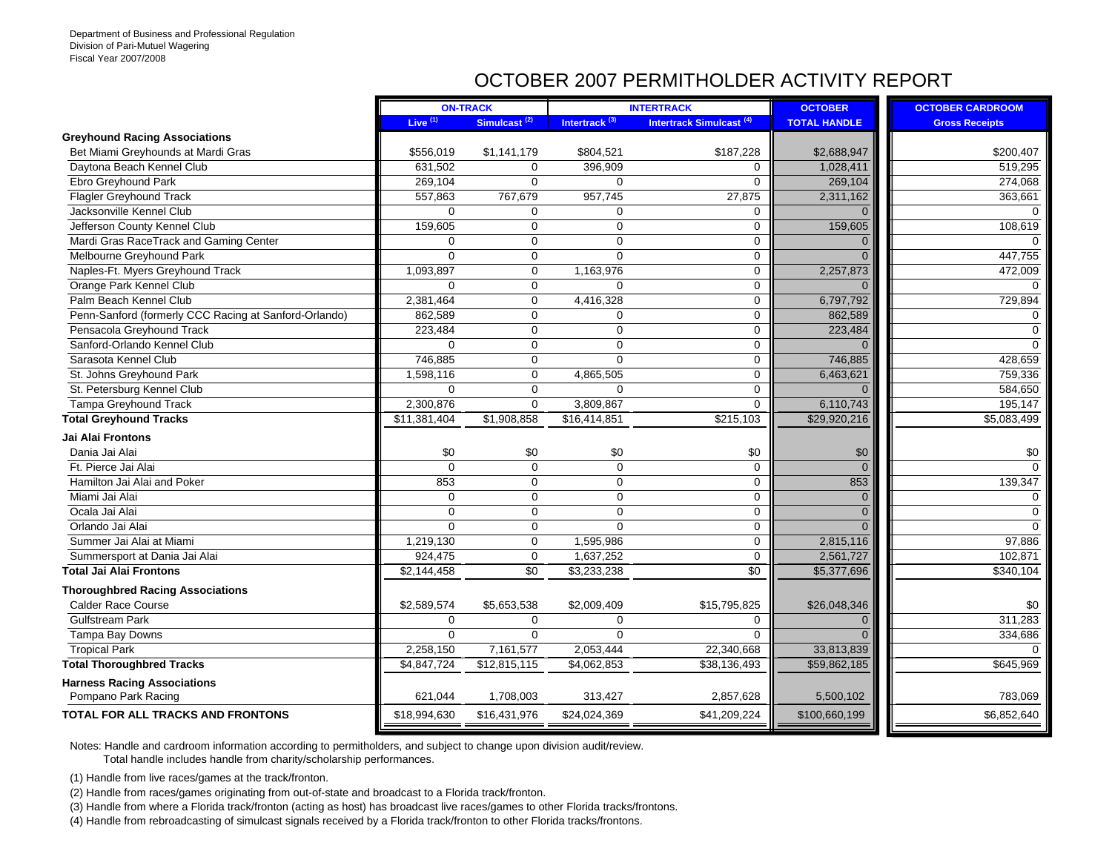## OCTOBER 2007 PERMITHOLDER ACTIVITY REPORT

|                                                       |                     | <b>ON-TRACK</b>          |                           | <b>INTERTRACK</b>                   | <b>OCTOBER</b>      | <b>OCTOBER CARDROOM</b> |
|-------------------------------------------------------|---------------------|--------------------------|---------------------------|-------------------------------------|---------------------|-------------------------|
|                                                       | Live <sup>(1)</sup> | Simulcast <sup>(2)</sup> | Intertrack <sup>(3)</sup> | Intertrack Simulcast <sup>(4)</sup> | <b>TOTAL HANDLE</b> | <b>Gross Receipts</b>   |
| <b>Greyhound Racing Associations</b>                  |                     |                          |                           |                                     |                     |                         |
| Bet Miami Greyhounds at Mardi Gras                    | \$556,019           | \$1,141,179              | \$804,521                 | \$187,228                           | \$2,688,947         | \$200,407               |
| Daytona Beach Kennel Club                             | 631,502             | $\Omega$                 | 396,909                   | $\mathbf 0$                         | 1,028,411           | 519,295                 |
| Ebro Greyhound Park                                   | 269,104             | $\Omega$                 | $\mathbf 0$               | $\mathbf 0$                         | 269,104             | 274,068                 |
| <b>Flagler Greyhound Track</b>                        | 557,863             | 767,679                  | 957,745                   | 27,875                              | 2,311,162           | 363,661                 |
| Jacksonville Kennel Club                              | $\Omega$            | 0                        | 0                         | $\mathbf 0$                         | $\Omega$            |                         |
| Jefferson County Kennel Club                          | 159,605             | $\mathbf 0$              | $\mathbf 0$               | $\mathbf 0$                         | 159,605             | 108,619                 |
| Mardi Gras RaceTrack and Gaming Center                | $\mathbf 0$         | 0                        | $\mathbf 0$               | $\mathbf 0$                         | $\Omega$            |                         |
| Melbourne Greyhound Park                              | $\Omega$            | 0                        | $\Omega$                  | $\mathbf 0$                         | $\Omega$            | 447,755                 |
| Naples-Ft. Myers Greyhound Track                      | 1,093,897           | $\Omega$                 | 1,163,976                 | $\mathbf 0$                         | 2,257,873           | 472,009                 |
| Orange Park Kennel Club                               | $\Omega$            | $\mathbf 0$              | $\mathbf 0$               | $\mathbf 0$                         | $\Omega$            |                         |
| Palm Beach Kennel Club                                | 2,381,464           | $\Omega$                 | 4,416,328                 | $\mathbf 0$                         | 6,797,792           | 729,894                 |
| Penn-Sanford (formerly CCC Racing at Sanford-Orlando) | 862,589             | $\mathbf 0$              | $\mathbf 0$               | $\mathbf 0$                         | 862,589             | $\Omega$                |
| Pensacola Greyhound Track                             | 223,484             | $\mathbf 0$              | $\mathbf 0$               | $\mathbf 0$                         | 223,484             | $\Omega$                |
| Sanford-Orlando Kennel Club                           | $\mathbf 0$         | $\mathbf 0$              | $\mathbf 0$               | $\mathbf 0$                         | $\Omega$            |                         |
| Sarasota Kennel Club                                  | 746,885             | 0                        | $\mathbf 0$               | $\mathbf 0$                         | 746,885             | 428,659                 |
| St. Johns Greyhound Park                              | 1,598,116           | $\Omega$                 | 4,865,505                 | $\mathbf 0$                         | 6,463,621           | 759,336                 |
| St. Petersburg Kennel Club                            | $\Omega$            | $\mathbf 0$              | $\Omega$                  | $\mathbf 0$                         | $\Omega$            | 584,650                 |
| <b>Tampa Greyhound Track</b>                          | 2,300,876           | $\mathbf 0$              | 3,809,867                 | $\mathbf 0$                         | 6,110,743           | 195,147                 |
| <b>Total Greyhound Tracks</b>                         | \$11,381,404        | \$1,908,858              | \$16,414,851              | \$215,103                           | \$29,920,216        | \$5,083,499             |
| Jai Alai Frontons                                     |                     |                          |                           |                                     |                     |                         |
| Dania Jai Alai                                        | \$0                 | \$0                      | \$0                       | \$0                                 | \$0                 | \$0                     |
| Ft. Pierce Jai Alai                                   | $\Omega$            | $\Omega$                 | $\mathbf 0$               | $\mathbf 0$                         | $\Omega$            | $\Omega$                |
| Hamilton Jai Alai and Poker                           | 853                 | $\Omega$                 | $\mathbf 0$               | $\mathbf 0$                         | 853                 | 139,347                 |
| Miami Jai Alai                                        | $\mathbf 0$         | $\mathbf 0$              | $\mathbf 0$               | $\mathbf 0$                         | $\Omega$            | $\Omega$                |
| Ocala Jai Alai                                        | $\mathbf 0$         | $\Omega$                 | $\mathbf 0$               | $\mathbf 0$                         | $\Omega$            | $\Omega$                |
| Orlando Jai Alai                                      | $\Omega$            | 0                        | $\Omega$                  | $\mathbf 0$                         | $\Omega$            | $\Omega$                |
| Summer Jai Alai at Miami                              | 1,219,130           | 0                        | 1,595,986                 | $\mathbf 0$                         | 2,815,116           | 97,886                  |
| Summersport at Dania Jai Alai                         | 924,475             | $\mathbf 0$              | 1,637,252                 | $\mathbf 0$                         | 2,561,727           | 102,871                 |
| <b>Total Jai Alai Frontons</b>                        | \$2,144,458         | $\overline{30}$          | \$3,233,238               | $\sqrt{50}$                         | \$5,377,696         | \$340,104               |
| <b>Thoroughbred Racing Associations</b>               |                     |                          |                           |                                     |                     |                         |
| <b>Calder Race Course</b>                             | \$2,589,574         | \$5,653,538              | \$2,009,409               | \$15,795,825                        | \$26,048,346        | \$0                     |
| <b>Gulfstream Park</b>                                | $\Omega$            | $\Omega$                 | $\Omega$                  | $\Omega$                            | $\Omega$            | 311.283                 |
| Tampa Bay Downs                                       | $\mathbf 0$         | $\mathbf 0$              | $\Omega$                  | $\Omega$                            | $\Omega$            | 334,686                 |
| <b>Tropical Park</b>                                  | 2,258,150           | 7,161,577                | 2,053,444                 | 22,340,668                          | 33,813,839          |                         |
| <b>Total Thoroughbred Tracks</b>                      | \$4,847,724         | \$12,815,115             | \$4,062,853               | \$38,136,493                        | \$59,862,185        | \$645,969               |
| <b>Harness Racing Associations</b>                    |                     |                          |                           |                                     |                     |                         |
| Pompano Park Racing                                   | 621,044             | 1,708,003                | 313,427                   | 2,857,628                           | 5,500,102           | 783,069                 |
| <b>TOTAL FOR ALL TRACKS AND FRONTONS</b>              | \$18,994,630        | \$16,431,976             | \$24,024,369              | \$41,209,224                        | \$100,660,199       | \$6,852,640             |
|                                                       |                     |                          |                           |                                     |                     |                         |

Notes: Handle and cardroom information according to permitholders, and subject to change upon division audit/review.

Total handle includes handle from charity/scholarship performances.

(1) Handle from live races/games at the track/fronton.

(2) Handle from races/games originating from out-of-state and broadcast to a Florida track/fronton.

(3) Handle from where a Florida track/fronton (acting as host) has broadcast live races/games to other Florida tracks/frontons.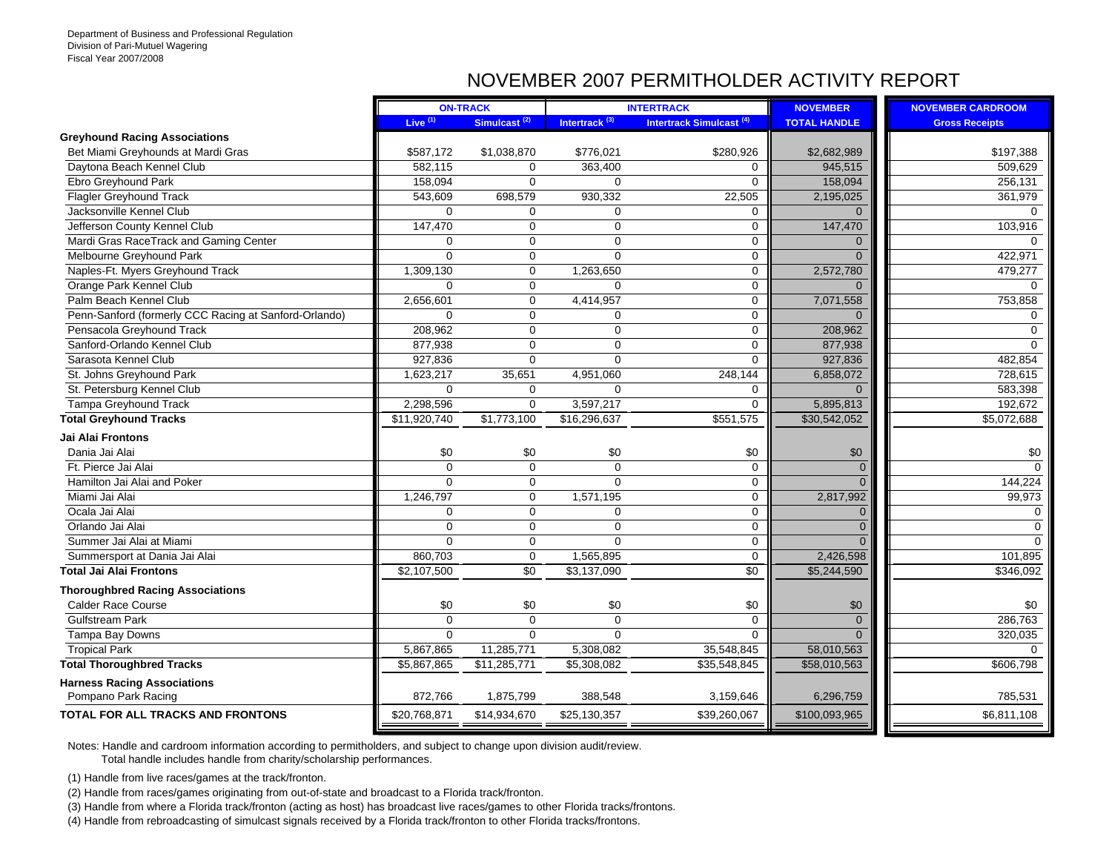## NOVEMBER 2007 PERMITHOLDER ACTIVITY REPORT

|                                                       |              | <b>ON-TRACK</b>          | <b>INTERTRACK</b>         |                                 | <b>NOVEMBER</b>     | <b>NOVEMBER CARDROOM</b> |
|-------------------------------------------------------|--------------|--------------------------|---------------------------|---------------------------------|---------------------|--------------------------|
|                                                       | Live $(1)$   | Simulcast <sup>(2)</sup> | Intertrack <sup>(3)</sup> | <b>Intertrack Simulcast (4)</b> | <b>TOTAL HANDLE</b> | <b>Gross Receipts</b>    |
| <b>Greyhound Racing Associations</b>                  |              |                          |                           |                                 |                     |                          |
| Bet Miami Greyhounds at Mardi Gras                    | \$587,172    | \$1,038,870              | \$776,021                 | \$280,926                       | \$2,682,989         | \$197,388                |
| Daytona Beach Kennel Club                             | 582,115      | $\Omega$                 | 363,400                   | $\mathbf 0$                     | 945,515             | 509,629                  |
| Ebro Greyhound Park                                   | 158,094      | $\Omega$                 | $\mathbf 0$               | $\Omega$                        | 158,094             | 256,131                  |
| <b>Flagler Greyhound Track</b>                        | 543,609      | 698,579                  | 930,332                   | 22,505                          | 2,195,025           | 361,979                  |
| Jacksonville Kennel Club                              | $\Omega$     | $\Omega$                 | 0                         | $\mathbf 0$                     | $\mathbf{0}$        | $\Omega$                 |
| Jefferson County Kennel Club                          | 147,470      | $\mathbf 0$              | $\mathbf 0$               | $\mathbf 0$                     | 147,470             | 103,916                  |
| Mardi Gras RaceTrack and Gaming Center                | $\mathbf 0$  | $\mathbf 0$              | $\mathbf 0$               | $\mathbf 0$                     | $\Omega$            |                          |
| Melbourne Greyhound Park                              | $\Omega$     | $\Omega$                 | $\Omega$                  | $\mathbf 0$                     | $\Omega$            | 422,971                  |
| Naples-Ft. Myers Greyhound Track                      | 1,309,130    | $\Omega$                 | 1,263,650                 | $\mathbf 0$                     | 2,572,780           | 479,277                  |
| Orange Park Kennel Club                               | $\mathbf 0$  | $\mathbf 0$              | 0                         | $\mathbf 0$                     | $\Omega$            | 0                        |
| Palm Beach Kennel Club                                | 2,656,601    | $\mathbf 0$              | 4,414,957                 | 0                               | 7,071,558           | 753,858                  |
| Penn-Sanford (formerly CCC Racing at Sanford-Orlando) | $\Omega$     | $\Omega$                 | $\mathbf 0$               | $\mathbf 0$                     | $\Omega$            | $\mathbf 0$              |
| Pensacola Greyhound Track                             | 208,962      | $\Omega$                 | $\mathbf 0$               | $\mathbf 0$                     | 208,962             | $\Omega$                 |
| Sanford-Orlando Kennel Club                           | 877,938      | $\mathbf 0$              | $\mathbf 0$               | $\mathbf 0$                     | 877,938             | $\Omega$                 |
| Sarasota Kennel Club                                  | 927,836      | $\Omega$                 | $\Omega$                  | $\Omega$                        | 927,836             | 482,854                  |
| St. Johns Greyhound Park                              | 1,623,217    | 35,651                   | 4,951,060                 | 248,144                         | 6,858,072           | 728,615                  |
| St. Petersburg Kennel Club                            | $\mathbf 0$  | $\mathbf 0$              | 0                         | 0                               | $\mathbf{0}$        | 583,398                  |
| <b>Tampa Greyhound Track</b>                          | 2,298,596    | $\mathbf 0$              | 3,597,217                 | $\mathbf 0$                     | 5,895,813           | 192,672                  |
| <b>Total Greyhound Tracks</b>                         | \$11,920,740 | \$1,773,100              | \$16,296,637              | \$551,575                       | \$30,542,052        | \$5,072,688              |
| Jai Alai Frontons                                     |              |                          |                           |                                 |                     |                          |
| Dania Jai Alai                                        | \$0          | \$0                      | \$0                       | \$0                             | \$0                 | \$0                      |
| Ft. Pierce Jai Alai                                   | $\Omega$     | $\mathbf 0$              | $\mathbf 0$               | $\mathbf 0$                     | $\mathbf{0}$        | $\Omega$                 |
| Hamilton Jai Alai and Poker                           | $\Omega$     | $\mathbf 0$              | $\Omega$                  | $\mathbf 0$                     | $\Omega$            | 144,224                  |
| Miami Jai Alai                                        | 1,246,797    | $\mathbf 0$              | 1,571,195                 | $\mathbf 0$                     | 2,817,992           | 99,973                   |
| Ocala Jai Alai                                        | $\mathbf 0$  | $\mathbf 0$              | $\mathbf 0$               | $\mathbf 0$                     | $\mathbf{0}$        | $\Omega$                 |
| Orlando Jai Alai                                      | $\Omega$     | $\Omega$                 | $\mathbf 0$               | $\mathbf 0$                     | $\mathbf{0}$        | $\Omega$                 |
| Summer Jai Alai at Miami                              | $\Omega$     | $\Omega$                 | $\Omega$                  | $\mathbf 0$                     | $\Omega$            | $\Omega$                 |
| Summersport at Dania Jai Alai                         | 860,703      | 0                        | 1,565,895                 | $\mathbf 0$                     | 2,426,598           | 101,895                  |
| <b>Total Jai Alai Frontons</b>                        | \$2,107,500  | \$0                      | \$3,137,090               | $\sqrt{6}$                      | \$5,244,590         | \$346,092                |
| <b>Thoroughbred Racing Associations</b>               |              |                          |                           |                                 |                     |                          |
| <b>Calder Race Course</b>                             | \$0          | \$0                      | \$0                       | \$0                             | \$0                 | \$0                      |
| <b>Gulfstream Park</b>                                | $\Omega$     | $\Omega$                 | $\Omega$                  | $\mathbf 0$                     | $\mathbf{0}$        | 286,763                  |
| Tampa Bay Downs                                       | $\Omega$     | $\Omega$                 | $\Omega$                  | $\Omega$                        | $\Omega$            | 320,035                  |
| <b>Tropical Park</b>                                  | 5,867,865    | 11,285,771               | 5,308,082                 | 35,548,845                      | 58,010,563          | $\Omega$                 |
| <b>Total Thoroughbred Tracks</b>                      | \$5,867,865  | \$11,285,771             | \$5,308,082               | \$35,548,845                    | \$58,010,563        | \$606,798                |
| <b>Harness Racing Associations</b>                    |              |                          |                           |                                 |                     |                          |
| Pompano Park Racing                                   | 872,766      | 1,875,799                | 388,548                   | 3,159,646                       | 6,296,759           | 785,531                  |
| <b>TOTAL FOR ALL TRACKS AND FRONTONS</b>              | \$20,768,871 | \$14,934,670             | \$25,130,357              | \$39,260,067                    | \$100,093,965       | \$6,811,108              |
|                                                       |              |                          |                           |                                 |                     |                          |

Notes: Handle and cardroom information according to permitholders, and subject to change upon division audit/review.

Total handle includes handle from charity/scholarship performances.

(1) Handle from live races/games at the track/fronton.

(2) Handle from races/games originating from out-of-state and broadcast to a Florida track/fronton.

(3) Handle from where a Florida track/fronton (acting as host) has broadcast live races/games to other Florida tracks/frontons.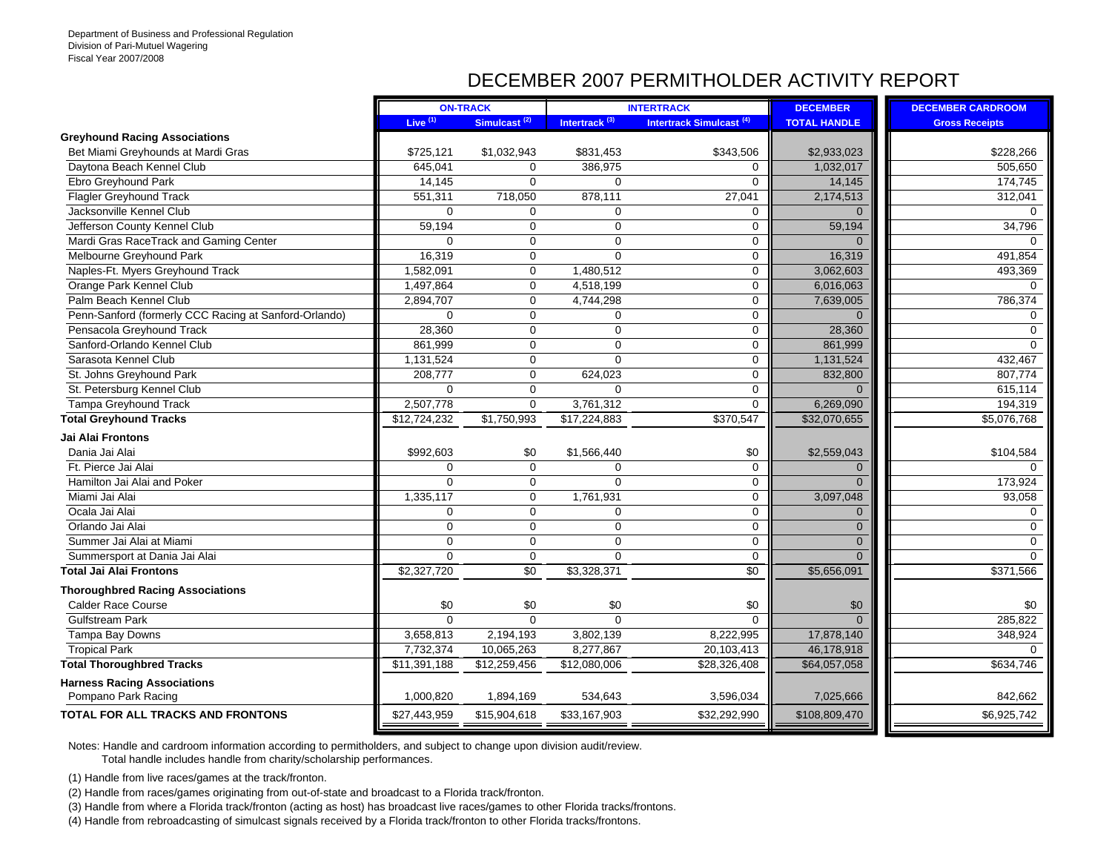## DECEMBER 2007 PERMITHOLDER ACTIVITY REPORT

|                                                       |              | <b>ON-TRACK</b>          | <b>INTERTRACK</b>         |                                     | <b>DECEMBER</b>     | <b>DECEMBER CARDROOM</b> |
|-------------------------------------------------------|--------------|--------------------------|---------------------------|-------------------------------------|---------------------|--------------------------|
|                                                       | Live $(1)$   | Simulcast <sup>(2)</sup> | Intertrack <sup>(3)</sup> | Intertrack Simulcast <sup>(4)</sup> | <b>TOTAL HANDLE</b> | <b>Gross Receipts</b>    |
| <b>Greyhound Racing Associations</b>                  |              |                          |                           |                                     |                     |                          |
| Bet Miami Greyhounds at Mardi Gras                    | \$725,121    | \$1,032,943              | \$831,453                 | \$343,506                           | \$2.933.023         | \$228,266                |
| Daytona Beach Kennel Club                             | 645,041      | $\Omega$                 | 386,975                   | 0                                   | 1,032,017           | 505,650                  |
| Ebro Greyhound Park                                   | 14,145       | $\mathbf 0$              | $\mathbf 0$               | $\mathbf 0$                         | 14,145              | 174,745                  |
| <b>Flagler Greyhound Track</b>                        | 551,311      | 718,050                  | 878,111                   | 27,041                              | 2,174,513           | 312,041                  |
| Jacksonville Kennel Club                              | $\Omega$     | $\Omega$                 | $\Omega$                  | $\mathbf 0$                         | $\Omega$            | $\Omega$                 |
| Jefferson County Kennel Club                          | 59.194       | $\Omega$                 | $\Omega$                  | $\mathbf 0$                         | 59,194              | 34,796                   |
| Mardi Gras RaceTrack and Gaming Center                | 0            | $\mathbf 0$              | $\mathbf 0$               | 0                                   | $\Omega$            | $\Omega$                 |
| Melbourne Greyhound Park                              | 16,319       | $\mathbf 0$              | $\Omega$                  | $\mathbf 0$                         | 16,319              | 491,854                  |
| Naples-Ft. Myers Greyhound Track                      | 1,582,091    | $\Omega$                 | 1,480,512                 | 0                                   | 3,062,603           | 493,369                  |
| Orange Park Kennel Club                               | 1,497,864    | $\Omega$                 | 4,518,199                 | 0                                   | 6,016,063           | $\Omega$                 |
| Palm Beach Kennel Club                                | 2,894,707    | $\Omega$                 | 4,744,298                 | $\mathbf 0$                         | 7,639,005           | 786,374                  |
| Penn-Sanford (formerly CCC Racing at Sanford-Orlando) | $\Omega$     | $\mathbf 0$              | $\mathbf 0$               | $\mathbf 0$                         | $\Omega$            | 0                        |
| Pensacola Greyhound Track                             | 28,360       | $\mathbf 0$              | $\mathbf 0$               | 0                                   | 28,360              | $\Omega$                 |
| Sanford-Orlando Kennel Club                           | 861,999      | $\mathbf 0$              | $\mathbf 0$               | $\mathbf 0$                         | 861,999             | $\Omega$                 |
| Sarasota Kennel Club                                  | 1,131,524    | $\mathbf 0$              | $\mathbf 0$               | $\mathbf 0$                         | 1,131,524           | 432,467                  |
| St. Johns Greyhound Park                              | 208,777      | $\Omega$                 | 624,023                   | $\mathbf 0$                         | 832,800             | 807,774                  |
| St. Petersburg Kennel Club                            | 0            | $\mathbf 0$              | $\Omega$                  | $\mathbf 0$                         | $\Omega$            | 615,114                  |
| Tampa Greyhound Track                                 | 2,507,778    | $\mathbf 0$              | 3,761,312                 | $\mathbf 0$                         | 6,269,090           | 194,319                  |
| <b>Total Greyhound Tracks</b>                         | \$12,724,232 | \$1,750,993              | \$17,224,883              | \$370,547                           | \$32,070,655        | \$5,076,768              |
| Jai Alai Frontons                                     |              |                          |                           |                                     |                     |                          |
| Dania Jai Alai                                        | \$992,603    | \$0                      | \$1,566,440               | \$0                                 | \$2,559,043         | \$104,584                |
| Ft. Pierce Jai Alai                                   | $\Omega$     | $\mathbf 0$              | $\mathbf 0$               | $\mathbf 0$                         | $\mathbf{0}$        |                          |
| Hamilton Jai Alai and Poker                           | $\Omega$     | $\mathbf 0$              | $\Omega$                  | $\mathbf 0$                         | $\overline{0}$      | 173,924                  |
| Miami Jai Alai                                        | 1,335,117    | $\mathbf 0$              | 1,761,931                 | 0                                   | 3,097,048           | 93,058                   |
| Ocala Jai Alai                                        | 0            | $\mathbf 0$              | $\mathbf 0$               | $\mathbf 0$                         | $\mathbf{0}$        | $\Omega$                 |
| Orlando Jai Alai                                      | 0            | $\mathbf 0$              | $\mathbf 0$               | $\mathbf 0$                         | $\mathbf{0}$        | $\Omega$                 |
| Summer Jai Alai at Miami                              | 0            | $\mathbf 0$              | $\mathbf 0$               | $\mathbf 0$                         | $\mathbf{0}$        | $\Omega$                 |
| Summersport at Dania Jai Alai                         | $\mathbf 0$  | $\mathbf 0$              | $\mathbf 0$               | $\mathbf 0$                         | $\Omega$            | $\Omega$                 |
| <b>Total Jai Alai Frontons</b>                        | \$2,327,720  | \$0                      | \$3,328,371               | \$0                                 | \$5,656,091         | \$371,566                |
| <b>Thoroughbred Racing Associations</b>               |              |                          |                           |                                     |                     |                          |
| <b>Calder Race Course</b>                             | \$0          | \$0                      | \$0                       | \$0                                 | \$0                 | \$0                      |
| <b>Gulfstream Park</b>                                | $\Omega$     | $\Omega$                 | $\Omega$                  | $\Omega$                            | $\Omega$            | 285,822                  |
| Tampa Bay Downs                                       | 3,658,813    | 2,194,193                | 3,802,139                 | 8,222,995                           | 17,878,140          | 348,924                  |
| <b>Tropical Park</b>                                  | 7,732,374    | 10,065,263               | 8,277,867                 | 20,103,413                          | 46,178,918          | $\Omega$                 |
| <b>Total Thoroughbred Tracks</b>                      | \$11,391,188 | \$12,259,456             | \$12,080,006              | \$28,326,408                        | \$64,057,058        | \$634,746                |
| <b>Harness Racing Associations</b>                    |              |                          |                           |                                     |                     |                          |
| Pompano Park Racing                                   | 1,000,820    | 1,894,169                | 534,643                   | 3,596,034                           | 7,025,666           | 842,662                  |
| <b>TOTAL FOR ALL TRACKS AND FRONTONS</b>              | \$27,443,959 | \$15,904,618             | \$33,167,903              | \$32,292,990                        | \$108,809,470       | \$6,925,742              |
|                                                       |              |                          |                           |                                     |                     |                          |

Notes: Handle and cardroom information according to permitholders, and subject to change upon division audit/review.

Total handle includes handle from charity/scholarship performances.

(1) Handle from live races/games at the track/fronton.

(2) Handle from races/games originating from out-of-state and broadcast to a Florida track/fronton.

(3) Handle from where a Florida track/fronton (acting as host) has broadcast live races/games to other Florida tracks/frontons.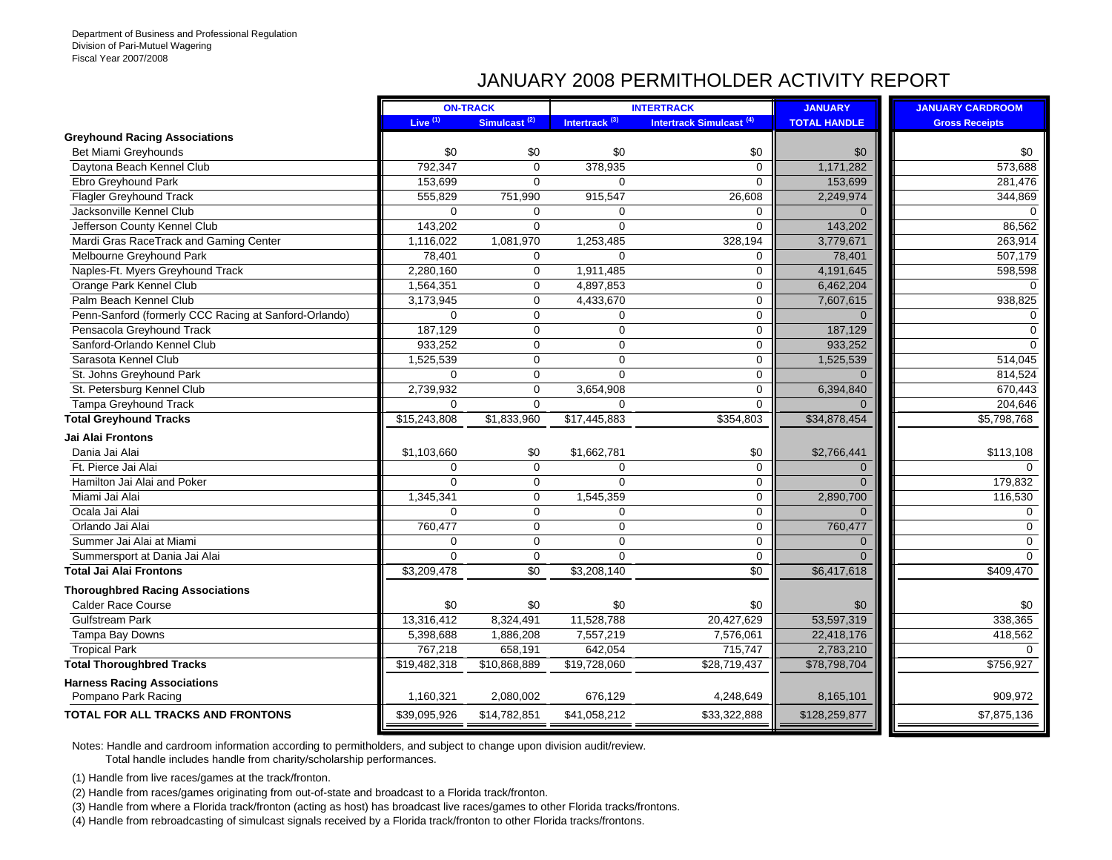## JANUARY 2008 PERMITHOLDER ACTIVITY REPORT

|                                                       |              | <b>ON-TRACK</b>          |                           | <b>INTERTRACK</b>                   | <b>JANUARY</b>      | <b>JANUARY CARDROOM</b> |
|-------------------------------------------------------|--------------|--------------------------|---------------------------|-------------------------------------|---------------------|-------------------------|
|                                                       | Live $(1)$   | Simulcast <sup>(2)</sup> | Intertrack <sup>(3)</sup> | Intertrack Simulcast <sup>(4)</sup> | <b>TOTAL HANDLE</b> | <b>Gross Receipts</b>   |
| <b>Greyhound Racing Associations</b>                  |              |                          |                           |                                     |                     |                         |
| <b>Bet Miami Greyhounds</b>                           | \$0          | \$0                      | \$0                       | \$0                                 | \$0                 | \$0                     |
| Daytona Beach Kennel Club                             | 792,347      | $\Omega$                 | 378,935                   | $\Omega$                            | 1,171,282           | 573,688                 |
| Ebro Greyhound Park                                   | 153.699      | $\Omega$                 | $\Omega$                  | $\mathbf 0$                         | 153,699             | 281,476                 |
| <b>Flagler Greyhound Track</b>                        | 555,829      | 751,990                  | 915,547                   | 26,608                              | 2,249,974           | 344,869                 |
| Jacksonville Kennel Club                              | $\mathbf 0$  | $\Omega$                 | $\mathbf 0$               | $\mathbf 0$                         | $\Omega$            | $\Omega$                |
| Jefferson County Kennel Club                          | 143,202      | $\mathbf 0$              | $\mathbf 0$               | $\mathbf 0$                         | 143,202             | 86,562                  |
| Mardi Gras RaceTrack and Gaming Center                | 1,116,022    | 1,081,970                | 1,253,485                 | 328,194                             | 3,779,671           | 263,914                 |
| Melbourne Greyhound Park                              | 78,401       | $\Omega$                 | $\Omega$                  | $\Omega$                            | 78,401              | 507,179                 |
| Naples-Ft. Myers Greyhound Track                      | 2.280.160    | $\Omega$                 | 1,911,485                 | $\Omega$                            | 4,191,645           | 598,598                 |
| Orange Park Kennel Club                               | 1,564,351    | $\mathbf 0$              | 4,897,853                 | $\mathbf 0$                         | 6,462,204           | $\Omega$                |
| Palm Beach Kennel Club                                | 3,173,945    | $\mathbf 0$              | 4,433,670                 | $\mathbf 0$                         | 7,607,615           | 938,825                 |
| Penn-Sanford (formerly CCC Racing at Sanford-Orlando) | $\Omega$     | $\mathbf 0$              | $\mathbf 0$               | $\mathbf 0$                         | $\Omega$            | $\Omega$                |
| Pensacola Greyhound Track                             | 187,129      | $\Omega$                 | $\mathbf 0$               | $\mathbf 0$                         | 187,129             | $\Omega$                |
| Sanford-Orlando Kennel Club                           | 933,252      | $\Omega$                 | $\mathbf 0$               | $\mathbf 0$                         | 933,252             | $\Omega$                |
| Sarasota Kennel Club                                  | 1,525,539    | $\Omega$                 | $\mathbf 0$               | $\mathbf 0$                         | 1,525,539           | 514,045                 |
| St. Johns Greyhound Park                              | $\mathbf 0$  | $\mathbf 0$              | $\mathbf 0$               | $\mathbf 0$                         | $\Omega$            | 814,524                 |
| St. Petersburg Kennel Club                            | 2,739,932    | $\Omega$                 | 3,654,908                 | $\mathbf 0$                         | 6,394,840           | 670,443                 |
| <b>Tampa Greyhound Track</b>                          | $\mathbf 0$  | $\mathbf 0$              | $\mathbf 0$               | $\mathbf 0$                         | $\Omega$            | 204,646                 |
| <b>Total Greyhound Tracks</b>                         | \$15,243,808 | \$1,833,960              | \$17,445,883              | \$354,803                           | \$34,878,454        | \$5,798,768             |
| Jai Alai Frontons                                     |              |                          |                           |                                     |                     |                         |
| Dania Jai Alai                                        | \$1,103,660  | \$0                      | \$1,662,781               | \$0                                 | \$2,766,441         | \$113,108               |
| Ft. Pierce Jai Alai                                   | $\Omega$     | $\Omega$                 | $\mathbf 0$               | $\mathbf 0$                         | $\mathbf{0}$        | $\Omega$                |
| Hamilton Jai Alai and Poker                           | $\Omega$     | $\mathbf 0$              | $\mathbf 0$               | $\mathbf 0$                         | $\mathbf{0}$        | 179,832                 |
| Miami Jai Alai                                        | 1,345,341    | $\mathbf 0$              | 1,545,359                 | $\mathbf 0$                         | 2,890,700           | 116,530                 |
| Ocala Jai Alai                                        | $\Omega$     | $\mathbf 0$              | $\mathbf 0$               | $\mathbf 0$                         | $\Omega$            | $\Omega$                |
| Orlando Jai Alai                                      | 760,477      | $\Omega$                 | $\mathbf 0$               | $\Omega$                            | 760,477             | $\Omega$                |
| Summer Jai Alai at Miami                              | $\Omega$     | $\Omega$                 | $\Omega$                  | $\Omega$                            | $\Omega$            | $\Omega$                |
| Summersport at Dania Jai Alai                         | $\mathbf 0$  | 0                        | 0                         | $\mathbf 0$                         | $\Omega$            | $\mathbf{0}$            |
| Total Jai Alai Frontons                               | \$3,209,478  | $\overline{30}$          | \$3,208,140               | $\overline{50}$                     | \$6,417,618         | \$409,470               |
| <b>Thoroughbred Racing Associations</b>               |              |                          |                           |                                     |                     |                         |
| <b>Calder Race Course</b>                             | \$0          | \$0                      | \$0                       | \$0                                 | \$0                 | \$0                     |
| <b>Gulfstream Park</b>                                | 13,316,412   | 8,324,491                | 11,528,788                | 20,427,629                          | 53,597,319          | 338,365                 |
| Tampa Bay Downs                                       | 5,398,688    | 1,886,208                | 7,557,219                 | 7,576,061                           | 22,418,176          | 418,562                 |
| <b>Tropical Park</b>                                  | 767,218      | 658,191                  | 642,054                   | 715,747                             | 2,783,210           | 0                       |
| <b>Total Thoroughbred Tracks</b>                      | \$19,482,318 | \$10,868,889             | \$19,728,060              | \$28,719,437                        | \$78,798,704        | \$756,927               |
| <b>Harness Racing Associations</b>                    |              |                          |                           |                                     |                     |                         |
| Pompano Park Racing                                   | 1,160,321    | 2,080,002                | 676,129                   | 4,248,649                           | 8,165,101           | 909,972                 |
| <b>TOTAL FOR ALL TRACKS AND FRONTONS</b>              | \$39,095,926 | \$14,782,851             | \$41,058,212              | \$33,322,888                        | \$128,259,877       | \$7,875,136             |
|                                                       |              |                          |                           |                                     |                     |                         |

Notes: Handle and cardroom information according to permitholders, and subject to change upon division audit/review.

Total handle includes handle from charity/scholarship performances.

(1) Handle from live races/games at the track/fronton.

(2) Handle from races/games originating from out-of-state and broadcast to a Florida track/fronton.

(3) Handle from where a Florida track/fronton (acting as host) has broadcast live races/games to other Florida tracks/frontons.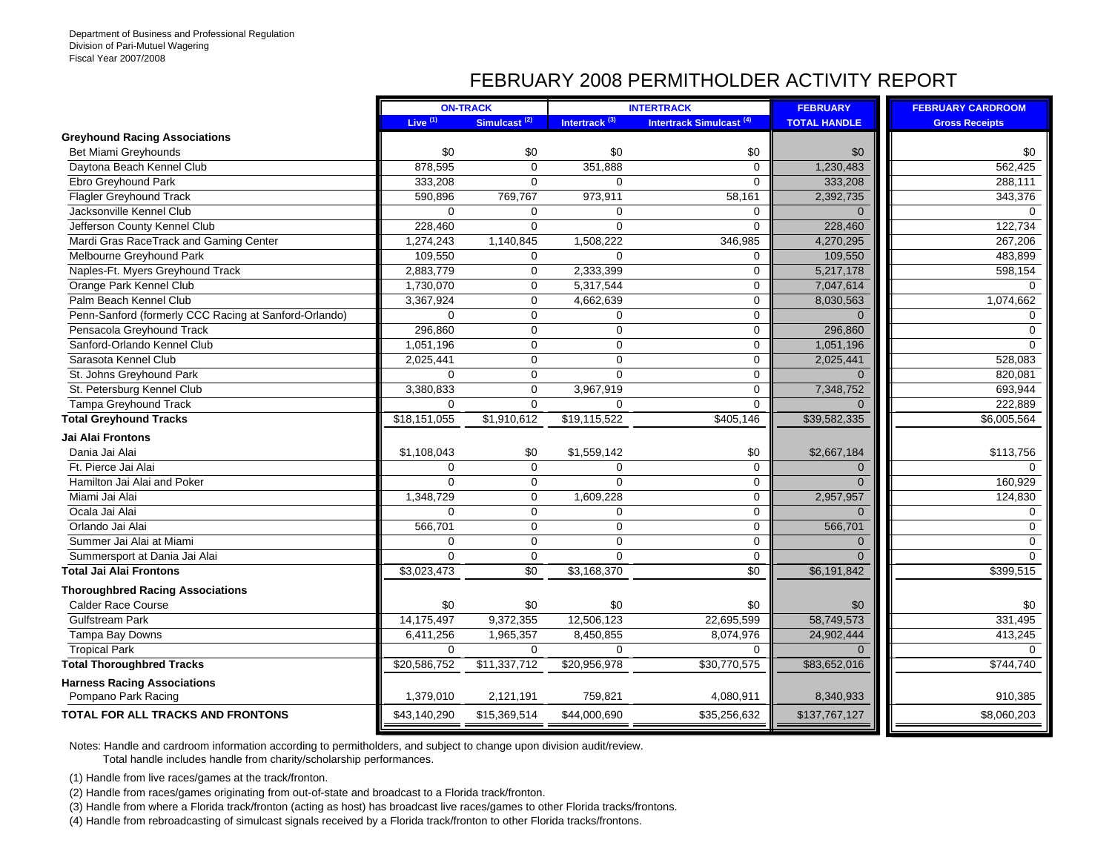## FEBRUARY 2008 PERMITHOLDER ACTIVITY REPORT

|                                                       |              | <b>ON-TRACK</b>          |                           | <b>INTERTRACK</b>                   | <b>FEBRUARY</b>     | <b>FEBRUARY CARDROOM</b> |
|-------------------------------------------------------|--------------|--------------------------|---------------------------|-------------------------------------|---------------------|--------------------------|
|                                                       | Live $(1)$   | Simulcast <sup>(2)</sup> | Intertrack <sup>(3)</sup> | Intertrack Simulcast <sup>(4)</sup> | <b>TOTAL HANDLE</b> | <b>Gross Receipts</b>    |
| <b>Greyhound Racing Associations</b>                  |              |                          |                           |                                     |                     |                          |
| <b>Bet Miami Greyhounds</b>                           | \$0          | \$0                      | \$0                       | \$0                                 | \$0                 | \$0                      |
| Daytona Beach Kennel Club                             | 878,595      | $\Omega$                 | 351,888                   | $\mathbf 0$                         | 1,230,483           | 562,425                  |
| Ebro Greyhound Park                                   | 333,208      | $\Omega$                 | $\mathbf 0$               | $\mathbf 0$                         | 333,208             | 288,111                  |
| <b>Flagler Greyhound Track</b>                        | 590,896      | 769,767                  | 973,911                   | 58,161                              | 2,392,735           | 343,376                  |
| Jacksonville Kennel Club                              | $\Omega$     | $\Omega$                 | $\Omega$                  | $\mathbf 0$                         | $\Omega$            | $\Omega$                 |
| Jefferson County Kennel Club                          | 228,460      | $\mathbf 0$              | $\mathbf 0$               | $\mathbf 0$                         | 228,460             | 122,734                  |
| Mardi Gras RaceTrack and Gaming Center                | 1,274,243    | 1,140,845                | 1,508,222                 | 346,985                             | 4,270,295           | 267,206                  |
| Melbourne Greyhound Park                              | 109,550      | $\Omega$                 | $\Omega$                  | $\mathbf 0$                         | 109,550             | 483,899                  |
| Naples-Ft. Myers Greyhound Track                      | 2,883,779    | $\mathbf 0$              | 2,333,399                 | $\mathbf 0$                         | 5,217,178           | 598,154                  |
| Orange Park Kennel Club                               | 1,730,070    | $\mathbf 0$              | 5,317,544                 | $\mathbf 0$                         | 7,047,614           | $\Omega$                 |
| Palm Beach Kennel Club                                | 3,367,924    | $\mathbf 0$              | 4,662,639                 | $\mathbf 0$                         | 8,030,563           | 1,074,662                |
| Penn-Sanford (formerly CCC Racing at Sanford-Orlando) | $\Omega$     | $\Omega$                 | $\mathbf 0$               | $\mathbf 0$                         | $\Omega$            | $\Omega$                 |
| Pensacola Greyhound Track                             | 296.860      | $\Omega$                 | $\mathbf 0$               | $\mathbf 0$                         | 296,860             | $\Omega$                 |
| Sanford-Orlando Kennel Club                           | 1,051,196    | $\Omega$                 | $\mathbf 0$               | $\mathbf 0$                         | 1,051,196           | $\Omega$                 |
| Sarasota Kennel Club                                  | 2,025,441    | $\mathbf 0$              | $\mathbf 0$               | $\mathbf 0$                         | 2,025,441           | 528,083                  |
| St. Johns Greyhound Park                              | $\Omega$     | $\mathbf 0$              | $\Omega$                  | $\mathbf 0$                         | $\Omega$            | 820,081                  |
| St. Petersburg Kennel Club                            | 3,380,833    | $\mathbf 0$              | 3,967,919                 | $\mathbf 0$                         | 7,348,752           | 693,944                  |
| <b>Tampa Greyhound Track</b>                          | $\mathbf 0$  | $\mathbf 0$              | $\mathbf 0$               | $\mathbf 0$                         | $\Omega$            | 222,889                  |
| <b>Total Greyhound Tracks</b>                         | \$18,151,055 | \$1,910,612              | \$19,115,522              | \$405,146                           | \$39,582,335        | $\overline{$6,005,564}$  |
| Jai Alai Frontons                                     |              |                          |                           |                                     |                     |                          |
| Dania Jai Alai                                        | \$1,108,043  | \$0                      | \$1,559,142               | \$0                                 | \$2,667,184         | \$113,756                |
| Ft. Pierce Jai Alai                                   | $\Omega$     | $\Omega$                 | $\Omega$                  | $\mathbf 0$                         | $\overline{0}$      | $\Omega$                 |
| Hamilton Jai Alai and Poker                           | $\Omega$     | $\mathbf 0$              | $\mathbf 0$               | $\mathbf 0$                         | $\overline{0}$      | 160,929                  |
| Miami Jai Alai                                        | 1,348,729    | $\mathbf 0$              | 1,609,228                 | $\mathbf 0$                         | 2,957,957           | 124,830                  |
| Ocala Jai Alai                                        | $\Omega$     | $\mathbf 0$              | $\mathbf 0$               | $\mathbf 0$                         | $\Omega$            | $\Omega$                 |
| Orlando Jai Alai                                      | 566,701      | $\mathbf 0$              | $\mathbf 0$               | $\mathbf 0$                         | 566,701             | $\Omega$                 |
| Summer Jai Alai at Miami                              | $\mathbf{0}$ | $\mathbf 0$              | $\mathbf 0$               | $\mathbf 0$                         | $\Omega$            | $\Omega$                 |
| Summersport at Dania Jai Alai                         | $\Omega$     | $\mathbf 0$              | $\Omega$                  | $\mathbf 0$                         | $\Omega$            | $\Omega$                 |
| <b>Total Jai Alai Frontons</b>                        | \$3,023,473  | \$0                      | \$3,168,370               | $\overline{30}$                     | \$6,191,842         | \$399,515                |
| <b>Thoroughbred Racing Associations</b>               |              |                          |                           |                                     |                     |                          |
| <b>Calder Race Course</b>                             | \$0          | \$0                      | \$0                       | \$0                                 | \$0                 | \$0                      |
| <b>Gulfstream Park</b>                                | 14,175,497   | 9,372,355                | 12,506,123                | 22,695,599                          | 58,749,573          | 331,495                  |
| Tampa Bay Downs                                       | 6,411,256    | 1,965,357                | 8,450,855                 | 8,074,976                           | 24,902,444          | 413,245                  |
| <b>Tropical Park</b>                                  | $\mathbf 0$  | $\mathbf 0$              | $\mathbf 0$               | 0                                   | $\Omega$            | $\Omega$                 |
| <b>Total Thoroughbred Tracks</b>                      | \$20,586,752 | \$11,337,712             | \$20,956,978              | \$30,770,575                        | \$83,652,016        | \$744,740                |
| <b>Harness Racing Associations</b>                    |              |                          |                           |                                     |                     |                          |
| Pompano Park Racing                                   | 1,379,010    | 2,121,191                | 759,821                   | 4,080,911                           | 8,340,933           | 910,385                  |
| <b>TOTAL FOR ALL TRACKS AND FRONTONS</b>              | \$43,140,290 | \$15,369,514             | \$44,000,690              | \$35,256,632                        | \$137,767,127       | \$8,060,203              |
|                                                       |              |                          |                           |                                     |                     |                          |

Notes: Handle and cardroom information according to permitholders, and subject to change upon division audit/review.

Total handle includes handle from charity/scholarship performances.

(1) Handle from live races/games at the track/fronton.

(2) Handle from races/games originating from out-of-state and broadcast to a Florida track/fronton.

(3) Handle from where a Florida track/fronton (acting as host) has broadcast live races/games to other Florida tracks/frontons.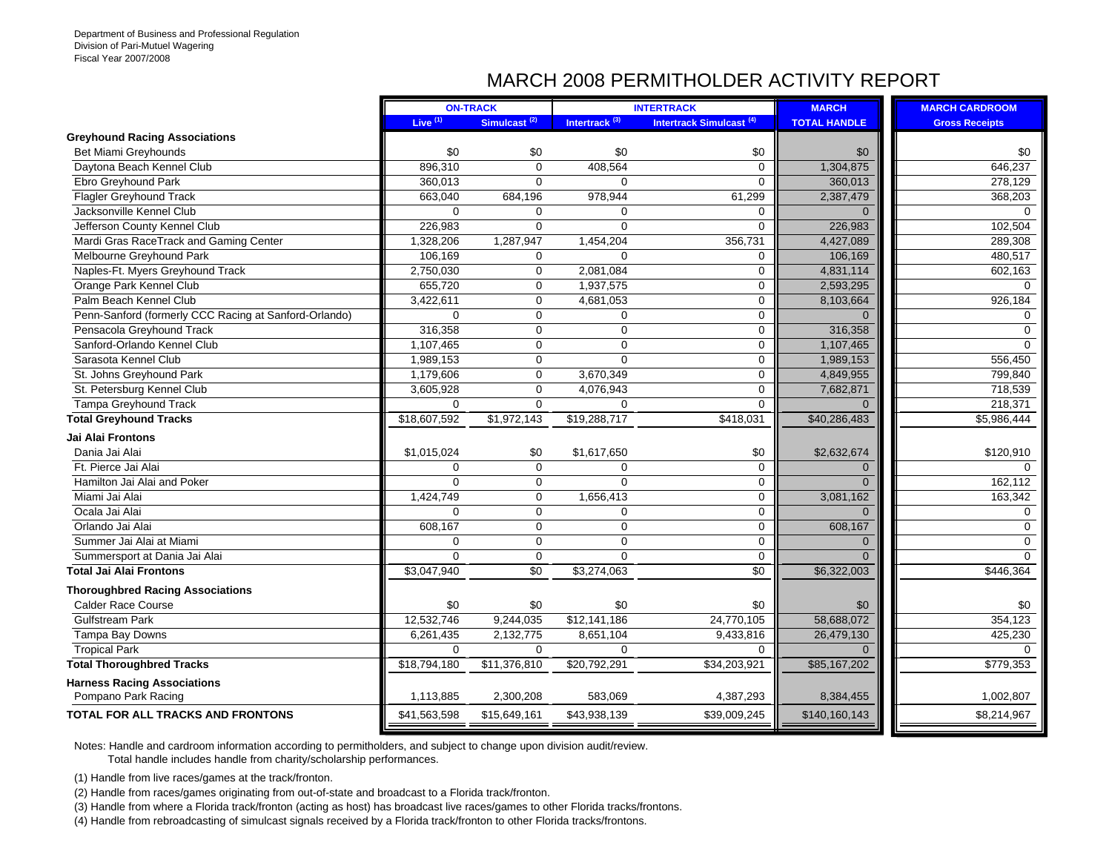## MARCH 2008 PERMITHOLDER ACTIVITY REPORT

|                                                       |              | <b>ON-TRACK</b>          |                           | <b>INTERTRACK</b>                   | <b>MARCH</b>        | <b>MARCH CARDROOM</b>   |
|-------------------------------------------------------|--------------|--------------------------|---------------------------|-------------------------------------|---------------------|-------------------------|
|                                                       | Live $(1)$   | Simulcast <sup>(2)</sup> | Intertrack <sup>(3)</sup> | Intertrack Simulcast <sup>(4)</sup> | <b>TOTAL HANDLE</b> | <b>Gross Receipts</b>   |
| <b>Greyhound Racing Associations</b>                  |              |                          |                           |                                     |                     |                         |
| Bet Miami Greyhounds                                  | \$0          | \$0                      | \$0                       | \$0                                 | \$0                 | \$0                     |
| Daytona Beach Kennel Club                             | 896,310      | $\Omega$                 | 408,564                   | $\Omega$                            | 1,304,875           | 646,237                 |
| Ebro Greyhound Park                                   | 360,013      | $\mathbf 0$              | $\mathbf 0$               | $\mathbf 0$                         | 360,013             | 278,129                 |
| <b>Flagler Greyhound Track</b>                        | 663,040      | 684,196                  | 978,944                   | 61,299                              | 2,387,479           | 368,203                 |
| Jacksonville Kennel Club                              | $\Omega$     | $\mathbf 0$              | $\mathbf 0$               | 0                                   | $\Omega$            | $\Omega$                |
| Jefferson County Kennel Club                          | 226,983      | $\mathbf 0$              | $\mathbf 0$               | $\mathbf 0$                         | 226,983             | 102,504                 |
| Mardi Gras RaceTrack and Gaming Center                | 1,328,206    | 1,287,947                | 1,454,204                 | 356,731                             | 4,427,089           | 289,308                 |
| Melbourne Greyhound Park                              | 106,169      | $\mathbf 0$              | $\Omega$                  | 0                                   | 106,169             | 480,517                 |
| Naples-Ft. Myers Greyhound Track                      | 2,750,030    | $\mathbf{0}$             | 2,081,084                 | $\mathbf 0$                         | 4,831,114           | 602,163                 |
| Orange Park Kennel Club                               | 655,720      | $\mathbf 0$              | 1,937,575                 | $\Omega$                            | 2,593,295           | $\Omega$                |
| Palm Beach Kennel Club                                | 3,422,611    | $\mathbf 0$              | 4,681,053                 | $\Omega$                            | 8,103,664           | 926,184                 |
| Penn-Sanford (formerly CCC Racing at Sanford-Orlando) | $\Omega$     | $\mathbf 0$              | $\mathbf 0$               | $\mathbf 0$                         | $\Omega$            | 0                       |
| Pensacola Greyhound Track                             | 316,358      | $\mathbf 0$              | $\mathbf 0$               | 0                                   | 316,358             | 0                       |
| Sanford-Orlando Kennel Club                           | 1,107,465    | $\mathbf 0$              | $\mathbf 0$               | 0                                   | 1,107,465           | $\Omega$                |
| Sarasota Kennel Club                                  | 1,989,153    | $\mathbf 0$              | $\Omega$                  | $\mathbf 0$                         | 1,989,153           | 556,450                 |
| St. Johns Greyhound Park                              | 1,179,606    | $\mathbf 0$              | 3,670,349                 | 0                                   | 4,849,955           | 799,840                 |
| St. Petersburg Kennel Club                            | 3.605.928    | $\Omega$                 | 4.076.943                 | 0                                   | 7,682,871           | 718,539                 |
| <b>Tampa Greyhound Track</b>                          | $\Omega$     | $\Omega$                 | $\Omega$                  | $\Omega$                            | $\Omega$            | 218,371                 |
| <b>Total Greyhound Tracks</b>                         | \$18,607,592 | \$1,972,143              | \$19,288,717              | \$418,031                           | \$40,286,483        | $\overline{$5,986,444}$ |
| Jai Alai Frontons                                     |              |                          |                           |                                     |                     |                         |
| Dania Jai Alai                                        | \$1,015,024  | \$0                      | \$1,617,650               | \$0                                 | \$2,632,674         | \$120,910               |
| Ft. Pierce Jai Alai                                   | $\Omega$     | $\Omega$                 | $\mathbf 0$               | $\mathbf 0$                         | $\mathbf{0}$        | $\Omega$                |
| Hamilton Jai Alai and Poker                           | $\Omega$     | $\mathbf 0$              | $\Omega$                  | 0                                   | $\Omega$            | 162,112                 |
| Miami Jai Alai                                        | 1,424,749    | $\mathbf 0$              | 1,656,413                 | $\Omega$                            | 3,081,162           | 163,342                 |
| Ocala Jai Alai                                        | $\Omega$     | $\overline{0}$           | $\mathbf 0$               | 0                                   | $\Omega$            | $\Omega$                |
| Orlando Jai Alai                                      | 608,167      | $\mathbf 0$              | $\mathbf 0$               | 0                                   | 608,167             | $\mathbf 0$             |
| Summer Jai Alai at Miami                              | $\Omega$     | $\mathbf 0$              | $\mathbf 0$               | 0                                   | $\Omega$            | $\Omega$                |
| Summersport at Dania Jai Alai                         | $\Omega$     | $\mathbf 0$              | $\mathbf 0$               | $\mathbf 0$                         | $\Omega$            | $\Omega$                |
| <b>Total Jai Alai Frontons</b>                        | \$3,047,940  | $\sqrt{6}$               | \$3,274,063               | $\overline{50}$                     | \$6,322,003         | \$446,364               |
| <b>Thoroughbred Racing Associations</b>               |              |                          |                           |                                     |                     |                         |
| <b>Calder Race Course</b>                             | \$0          | \$0                      | \$0                       | \$0                                 | \$0                 | \$0                     |
| <b>Gulfstream Park</b>                                | 12,532,746   | 9,244,035                | \$12,141,186              | 24,770,105                          | 58,688,072          | 354,123                 |
| Tampa Bay Downs                                       | 6,261,435    | 2,132,775                | 8,651,104                 | 9,433,816                           | 26,479,130          | 425,230                 |
| <b>Tropical Park</b>                                  | $\Omega$     | $\mathbf 0$              | $\mathbf 0$               | $\mathbf 0$                         | $\Omega$            | $\Omega$                |
| <b>Total Thoroughbred Tracks</b>                      | \$18,794,180 | \$11,376,810             | \$20,792,291              | \$34,203,921                        | \$85,167,202        | \$779,353               |
| <b>Harness Racing Associations</b>                    |              |                          |                           |                                     |                     |                         |
| Pompano Park Racing                                   | 1,113,885    | 2,300,208                | 583,069                   | 4,387,293                           | 8,384,455           | 1,002,807               |
| <b>TOTAL FOR ALL TRACKS AND FRONTONS</b>              | \$41,563,598 | \$15,649,161             | \$43,938,139              | \$39,009,245                        | \$140,160,143       | \$8,214,967             |

Notes: Handle and cardroom information according to permitholders, and subject to change upon division audit/review.

Total handle includes handle from charity/scholarship performances.

(1) Handle from live races/games at the track/fronton.

(2) Handle from races/games originating from out-of-state and broadcast to a Florida track/fronton.

(3) Handle from where a Florida track/fronton (acting as host) has broadcast live races/games to other Florida tracks/frontons.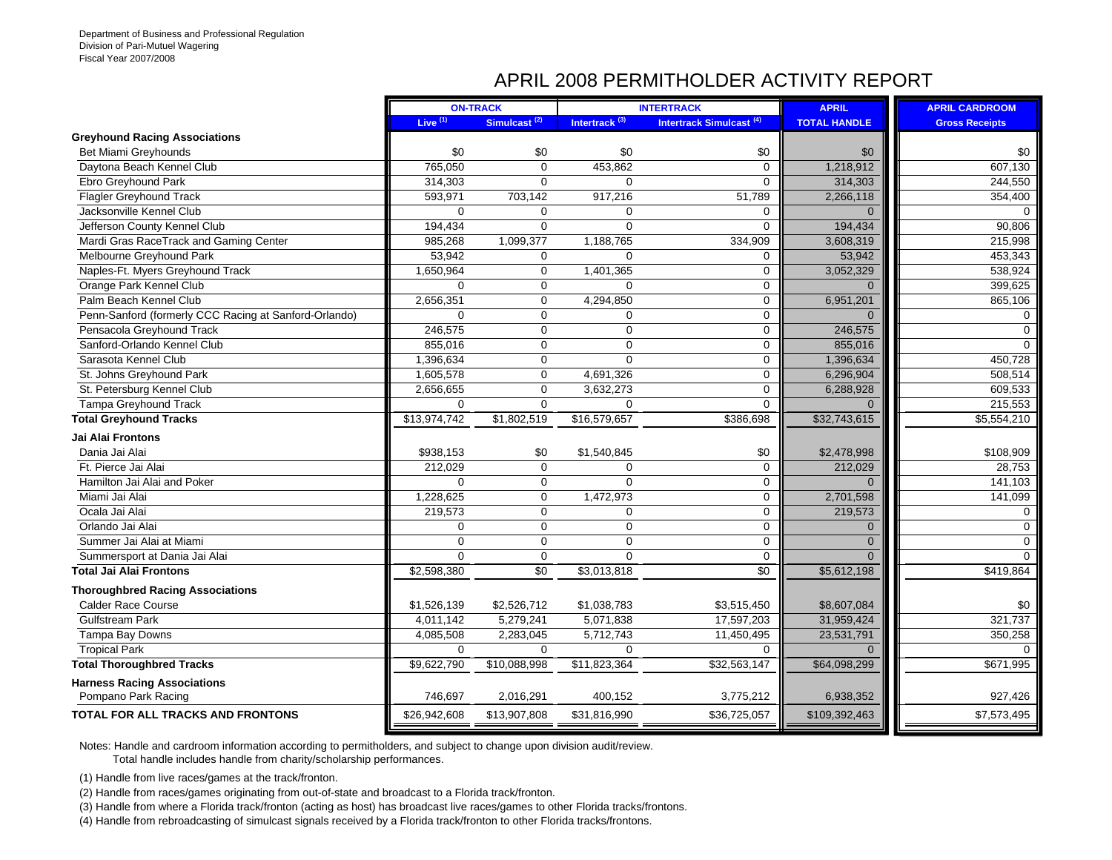#### APRIL 2008 PERMITHOLDER ACTIVITY REPORT

|                                                       |              | <b>ON-TRACK</b>          |                           | <b>INTERTRACK</b>                   | <b>APRIL</b>        | <b>APRIL CARDROOM</b>   |
|-------------------------------------------------------|--------------|--------------------------|---------------------------|-------------------------------------|---------------------|-------------------------|
|                                                       | Live $(1)$   | Simulcast <sup>(2)</sup> | Intertrack <sup>(3)</sup> | Intertrack Simulcast <sup>(4)</sup> | <b>TOTAL HANDLE</b> | <b>Gross Receipts</b>   |
| <b>Greyhound Racing Associations</b>                  |              |                          |                           |                                     |                     |                         |
| Bet Miami Greyhounds                                  | \$0          | \$0                      | \$0                       | \$0                                 | \$0                 | \$0                     |
| Daytona Beach Kennel Club                             | 765,050      | $\mathbf 0$              | 453,862                   | $\mathbf 0$                         | 1,218,912           | 607,130                 |
| Ebro Greyhound Park                                   | 314,303      | $\mathbf 0$              | $\mathbf 0$               | $\mathbf 0$                         | 314,303             | 244,550                 |
| <b>Flagler Greyhound Track</b>                        | 593,971      | 703,142                  | 917,216                   | 51,789                              | 2,266,118           | 354,400                 |
| Jacksonville Kennel Club                              | $\Omega$     | $\mathbf 0$              | 0                         | $\mathbf 0$                         | $\Omega$            | $\Omega$                |
| Jefferson County Kennel Club                          | 194,434      | $\mathbf 0$              | $\mathbf 0$               | $\mathbf 0$                         | 194,434             | 90,806                  |
| Mardi Gras RaceTrack and Gaming Center                | 985,268      | 1,099,377                | 1,188,765                 | 334,909                             | 3,608,319           | 215,998                 |
| Melbourne Greyhound Park                              | 53,942       | $\mathbf 0$              | $\overline{0}$            | $\Omega$                            | 53,942              | 453,343                 |
| Naples-Ft. Myers Greyhound Track                      | 1,650,964    | $\mathbf 0$              | 1,401,365                 | $\mathbf 0$                         | 3,052,329           | 538,924                 |
| Orange Park Kennel Club                               | $\Omega$     | $\mathbf 0$              | 0                         | $\mathbf 0$                         | $\Omega$            | 399,625                 |
| Palm Beach Kennel Club                                | 2,656,351    | $\mathbf 0$              | 4,294,850                 | $\Omega$                            | 6,951,201           | 865,106                 |
| Penn-Sanford (formerly CCC Racing at Sanford-Orlando) | $\Omega$     | $\mathbf 0$              | 0                         | $\mathbf 0$                         |                     | $\Omega$                |
| Pensacola Greyhound Track                             | 246,575      | $\mathbf 0$              | 0                         | $\mathbf 0$                         | 246,575             | $\Omega$                |
| Sanford-Orlando Kennel Club                           | 855,016      | $\mathbf 0$              | 0                         | $\mathbf 0$                         | 855,016             |                         |
| Sarasota Kennel Club                                  | 1,396,634    | 0                        | $\mathbf 0$               | $\mathbf 0$                         | 1,396,634           | 450,728                 |
| St. Johns Greyhound Park                              | 1,605,578    | $\mathsf 0$              | 4,691,326                 | $\mathbf 0$                         | 6,296,904           | 508,514                 |
| St. Petersburg Kennel Club                            | 2,656,655    | $\mathbf 0$              | 3,632,273                 | $\mathbf 0$                         | 6,288,928           | 609,533                 |
| Tampa Greyhound Track                                 | $\mathbf 0$  | $\mathbf 0$              | 0                         | $\Omega$                            | $\Omega$            | 215,553                 |
| <b>Total Greyhound Tracks</b>                         | \$13,974,742 | \$1,802,519              | \$16,579,657              | \$386,698                           | \$32,743,615        | $\overline{$5,554,210}$ |
| Jai Alai Frontons                                     |              |                          |                           |                                     |                     |                         |
| Dania Jai Alai                                        | \$938,153    | \$0                      | \$1,540,845               | \$0                                 | \$2,478,998         | \$108,909               |
| Ft. Pierce Jai Alai                                   | 212,029      | $\mathbf 0$              | $\Omega$                  | $\mathbf 0$                         | 212,029             | 28,753                  |
| Hamilton Jai Alai and Poker                           | $\Omega$     | $\mathbf 0$              | $\Omega$                  | $\mathbf 0$                         | $\Omega$            | 141,103                 |
| Miami Jai Alai                                        | 1,228,625    | $\mathbf 0$              | 1,472,973                 | $\mathbf 0$                         | 2,701,598           | 141,099                 |
| Ocala Jai Alai                                        | 219,573      | $\mathbf 0$              | 0                         | $\mathbf 0$                         | 219,573             | $\Omega$                |
| Orlando Jai Alai                                      | $\mathbf 0$  | $\mathbf 0$              | 0                         | $\mathbf 0$                         | $\mathbf{0}$        | $\Omega$                |
| Summer Jai Alai at Miami                              | $\mathbf 0$  | $\mathbf 0$              | 0                         | $\mathbf 0$                         | $\mathbf{0}$        | $\Omega$                |
| Summersport at Dania Jai Alai                         | $\Omega$     | $\mathbf 0$              | 0                         | $\mathbf 0$                         | $\Omega$            | $\Omega$                |
| <b>Total Jai Alai Frontons</b>                        | \$2,598,380  | $\sqrt{6}$               | \$3,013,818               | $\sqrt{50}$                         | \$5,612,198         | \$419,864               |
| <b>Thoroughbred Racing Associations</b>               |              |                          |                           |                                     |                     |                         |
| <b>Calder Race Course</b>                             | \$1,526,139  | \$2,526,712              | \$1,038,783               | \$3,515,450                         | \$8,607,084         | \$0                     |
| <b>Gulfstream Park</b>                                | 4,011,142    | 5,279,241                | 5,071,838                 | 17,597,203                          | 31,959,424          | 321,737                 |
| Tampa Bay Downs                                       | 4,085,508    | 2,283,045                | 5,712,743                 | 11,450,495                          | 23,531,791          | 350,258                 |
| <b>Tropical Park</b>                                  | $\Omega$     | $\Omega$                 | 0                         | $\Omega$                            | $\Omega$            |                         |
| <b>Total Thoroughbred Tracks</b>                      | \$9,622,790  | \$10,088,998             | \$11,823,364              | \$32,563,147                        | \$64,098,299        | 5671,995                |
| <b>Harness Racing Associations</b>                    |              |                          |                           |                                     |                     |                         |
| Pompano Park Racing                                   | 746,697      | 2,016,291                | 400,152                   | 3,775,212                           | 6,938,352           | 927,426                 |
| <b>TOTAL FOR ALL TRACKS AND FRONTONS</b>              | \$26,942,608 | \$13,907,808             | \$31,816,990              | \$36,725,057                        | \$109,392,463       | \$7,573,495             |

Notes: Handle and cardroom information according to permitholders, and subject to change upon division audit/review.

Total handle includes handle from charity/scholarship performances.

(1) Handle from live races/games at the track/fronton.

(2) Handle from races/games originating from out-of-state and broadcast to a Florida track/fronton.

(3) Handle from where a Florida track/fronton (acting as host) has broadcast live races/games to other Florida tracks/frontons.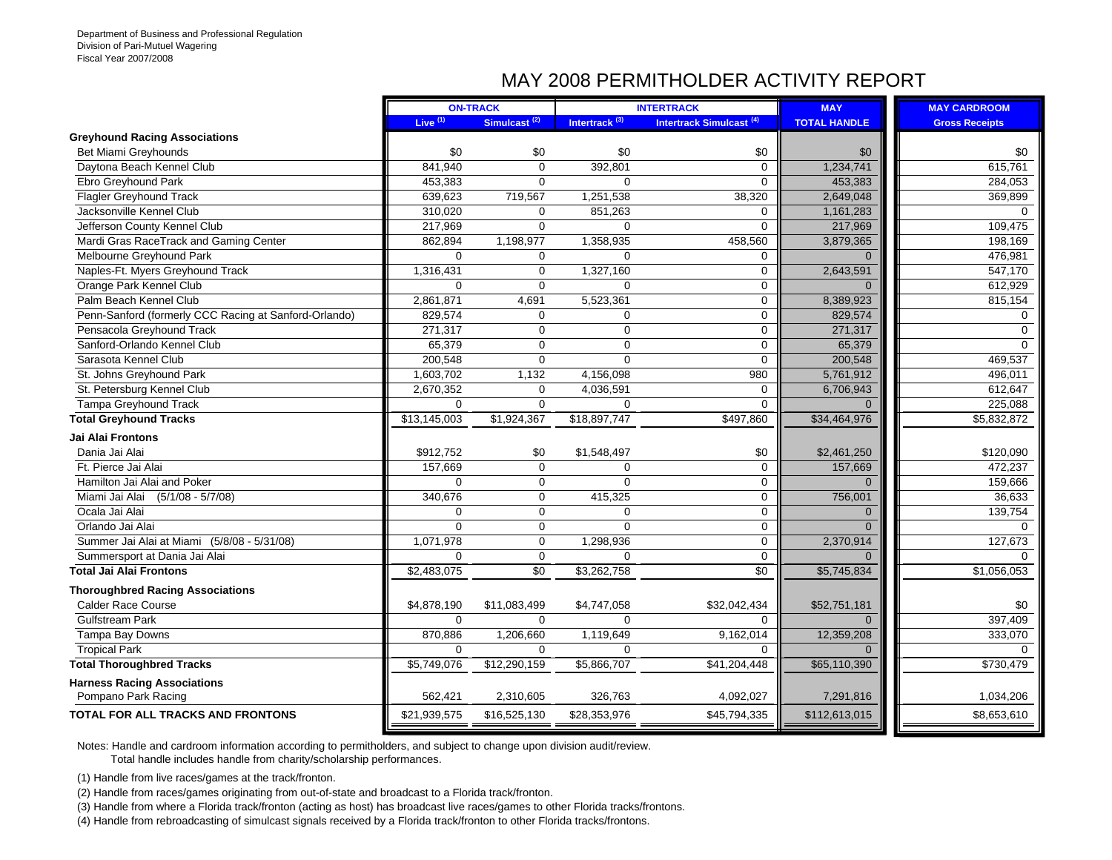## MAY 2008 PERMITHOLDER ACTIVITY REPORT

|                                                       |              | <b>ON-TRACK</b>          |                           | <b>INTERTRACK</b>                   | <b>MAY</b>          | <b>MAY CARDROOM</b>   |
|-------------------------------------------------------|--------------|--------------------------|---------------------------|-------------------------------------|---------------------|-----------------------|
|                                                       | Live $(1)$   | Simulcast <sup>(2)</sup> | Intertrack <sup>(3)</sup> | Intertrack Simulcast <sup>(4)</sup> | <b>TOTAL HANDLE</b> | <b>Gross Receipts</b> |
| <b>Greyhound Racing Associations</b>                  |              |                          |                           |                                     |                     |                       |
| <b>Bet Miami Greyhounds</b>                           | \$0          | \$0                      | \$0                       | \$0                                 | \$0                 | \$0                   |
| Daytona Beach Kennel Club                             | 841,940      | $\mathbf 0$              | 392,801                   | $\mathbf 0$                         | 1,234,741           | 615,761               |
| Ebro Greyhound Park                                   | 453,383      | $\Omega$                 | $\Omega$                  | $\Omega$                            | 453,383             | 284,053               |
| <b>Flagler Greyhound Track</b>                        | 639,623      | 719,567                  | 1,251,538                 | 38,320                              | 2,649,048           | 369,899               |
| Jacksonville Kennel Club                              | 310.020      | $\mathbf 0$              | 851.263                   | $\mathbf 0$                         | 1,161,283           | $\Omega$              |
| Jefferson County Kennel Club                          | 217,969      | $\mathbf 0$              | $\Omega$                  | $\mathbf 0$                         | 217,969             | 109,475               |
| Mardi Gras RaceTrack and Gaming Center                | 862,894      | 1,198,977                | 1,358,935                 | 458,560                             | 3,879,365           | 198,169               |
| Melbourne Greyhound Park                              | $\Omega$     | $\mathbf 0$              | $\Omega$                  | $\mathbf 0$                         | $\Omega$            | 476,981               |
| Naples-Ft. Myers Greyhound Track                      | 1,316,431    | $\mathbf 0$              | 1,327,160                 | $\mathbf 0$                         | 2,643,591           | 547,170               |
| Orange Park Kennel Club                               | $\Omega$     | $\mathbf 0$              | $\Omega$                  | $\mathbf 0$                         | $\Omega$            | 612,929               |
| Palm Beach Kennel Club                                | 2,861,871    | 4,691                    | 5,523,361                 | $\mathbf 0$                         | 8,389,923           | 815,154               |
| Penn-Sanford (formerly CCC Racing at Sanford-Orlando) | 829,574      | $\mathbf 0$              | $\Omega$                  | $\mathbf 0$                         | 829,574             | $\Omega$              |
| Pensacola Greyhound Track                             | 271.317      | $\mathbf 0$              | $\Omega$                  | $\mathbf 0$                         | 271,317             | $\Omega$              |
| Sanford-Orlando Kennel Club                           | 65,379       | $\mathbf 0$              | $\Omega$                  | $\mathbf 0$                         | 65,379              | $\Omega$              |
| Sarasota Kennel Club                                  | 200,548      | $\mathbf 0$              | $\mathbf 0$               | $\mathbf 0$                         | 200,548             | 469,537               |
| St. Johns Greyhound Park                              | 1,603,702    | 1,132                    | 4,156,098                 | 980                                 | 5,761,912           | 496,011               |
| St. Petersburg Kennel Club                            | 2,670,352    | $\mathbf 0$              | 4,036,591                 | $\mathbf 0$                         | 6,706,943           | 612,647               |
| Tampa Greyhound Track                                 | $\mathbf 0$  | $\Omega$                 | $\mathbf 0$               | $\mathbf 0$                         | $\Omega$            | 225,088               |
| <b>Total Greyhound Tracks</b>                         | \$13,145,003 | \$1,924,367              | \$18,897,747              | \$497,860                           | \$34,464,976        | \$5,832,872           |
| Jai Alai Frontons                                     |              |                          |                           |                                     |                     |                       |
| Dania Jai Alai                                        | \$912.752    | \$0                      | \$1,548,497               | \$0                                 | \$2,461,250         | \$120,090             |
| Ft. Pierce Jai Alai                                   | 157.669      | $\Omega$                 | $\Omega$                  | $\Omega$                            | 157,669             | 472,237               |
| Hamilton Jai Alai and Poker                           | $\Omega$     | 0                        | $\Omega$                  | $\mathbf 0$                         | $\mathbf{0}$        | 159,666               |
| Miami Jai Alai (5/1/08 - 5/7/08)                      | 340,676      | 0                        | 415,325                   | $\mathbf 0$                         | 756,001             | 36,633                |
| Ocala Jai Alai                                        | $\mathbf 0$  | $\mathbf 0$              | $\mathbf 0$               | $\mathbf 0$                         | $\mathbf{0}$        | 139,754               |
| Orlando Jai Alai                                      | $\Omega$     | 0                        | $\Omega$                  | $\mathbf 0$                         | $\Omega$            | $\Omega$              |
| Summer Jai Alai at Miami (5/8/08 - 5/31/08)           | 1,071,978    | 0                        | 1,298,936                 | $\mathbf 0$                         | 2,370,914           | 127,673               |
| Summersport at Dania Jai Alai                         | $\Omega$     | $\mathbf 0$              | $\Omega$                  | $\mathbf 0$                         | $\Omega$            | $\Omega$              |
| <b>Total Jai Alai Frontons</b>                        | \$2,483,075  | $\sqrt{6}$               | \$3,262,758               | \$0                                 | \$5,745,834         | \$1,056,053           |
| <b>Thoroughbred Racing Associations</b>               |              |                          |                           |                                     |                     |                       |
| Calder Race Course                                    | \$4,878,190  | \$11,083,499             | \$4,747,058               | \$32,042,434                        | \$52,751,181        | \$0                   |
| <b>Gulfstream Park</b>                                | $\Omega$     | $\mathbf 0$              | $\mathbf 0$               | $\Omega$                            | $\Omega$            | 397,409               |
| Tampa Bay Downs                                       | 870,886      | 1,206,660                | 1,119,649                 | 9,162,014                           | 12,359,208          | 333,070               |
| <b>Tropical Park</b>                                  | $\Omega$     | $\mathbf 0$              | $\mathbf 0$               | 0                                   | $\Omega$            | $\Omega$              |
| <b>Total Thoroughbred Tracks</b>                      | \$5,749,076  | \$12,290,159             | \$5,866,707               | \$41,204,448                        | \$65,110,390        | \$730,479             |
| <b>Harness Racing Associations</b>                    |              |                          |                           |                                     |                     |                       |
| Pompano Park Racing                                   | 562,421      | 2,310,605                | 326,763                   | 4,092,027                           | 7,291,816           | 1,034,206             |
| <b>TOTAL FOR ALL TRACKS AND FRONTONS</b>              | \$21,939,575 | \$16,525,130             | \$28,353,976              | \$45,794,335                        | \$112,613,015       | \$8,653,610           |

Notes: Handle and cardroom information according to permitholders, and subject to change upon division audit/review.

Total handle includes handle from charity/scholarship performances.

(1) Handle from live races/games at the track/fronton.

(2) Handle from races/games originating from out-of-state and broadcast to a Florida track/fronton.

(3) Handle from where a Florida track/fronton (acting as host) has broadcast live races/games to other Florida tracks/frontons.